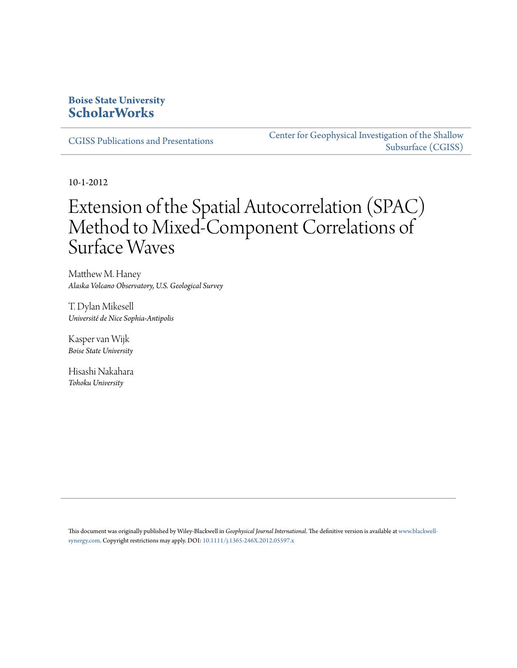### **Boise State University [ScholarWorks](https://scholarworks.boisestate.edu)**

[CGISS Publications and Presentations](https://scholarworks.boisestate.edu/cgiss_facpubs)

[Center for Geophysical Investigation of the Shallow](https://scholarworks.boisestate.edu/cgiss) [Subsurface \(CGISS\)](https://scholarworks.boisestate.edu/cgiss)

10-1-2012

# Extension of the Spatial Autocorrelation (SPAC) Method to Mixed-Component Correlations of Surface Waves

Matthew M. Haney *Alaska Volcano Observatory, U.S. Geological Survey*

T. Dylan Mikesell *Université de Nice Sophia-Antipolis*

Kasper van Wijk *Boise State University*

Hisashi Nakahara *Tohoku University*

This document was originally published by Wiley-Blackwell in *Geophysical Journal International*. The definitive version is available at [www.blackwell](http://www.blackwell-synergy.com)[synergy.com](http://www.blackwell-synergy.com). Copyright restrictions may apply. DOI: [10.1111/j.1365-246X.2012.05597.x](http://dx.doi.org/10.1111/j.1365-246X.2012.05597.x)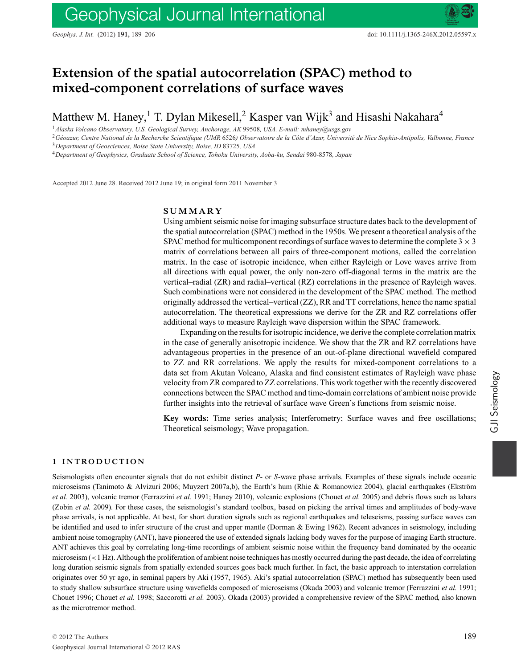## **Extension of the spatial autocorrelation (SPAC) method to mixed-component correlations of surface waves**

Matthew M. Haney,<sup>1</sup> T. Dylan Mikesell,<sup>2</sup> Kasper van Wijk<sup>3</sup> and Hisashi Nakahara<sup>4</sup>

<sup>1</sup>*Alaska Volcano Observatory, U.S. Geological Survey, Anchorage, AK* 99508*, USA. E-mail: mhaney@usgs.gov*

<sup>2</sup>*Geoazur, Centre National de la Recherche Scientifique (UMR ´* 6526*) Observatoire de la Cote d'Azur, Universit ˆ e de Nice Sophia-Antipolis, Valbonne, France ´* <sup>3</sup>*Department of Geosciences, Boise State University, Boise, ID* 83725*, USA*

<sup>4</sup>*Department of Geophysics, Graduate School of Science, Tohoku University, Aoba-ku, Sendai* 980*-*8578*, Japan*

Accepted 2012 June 28. Received 2012 June 19; in original form 2011 November 3

#### **SUMMARY**

Using ambient seismic noise for imaging subsurface structure dates back to the development of the spatial autocorrelation (SPAC) method in the 1950s. We present a theoretical analysis of the SPAC method for multicomponent recordings of surface waves to determine the complete  $3 \times 3$ matrix of correlations between all pairs of three-component motions, called the correlation matrix. In the case of isotropic incidence, when either Rayleigh or Love waves arrive from all directions with equal power, the only non-zero off-diagonal terms in the matrix are the vertical–radial (ZR) and radial–vertical (RZ) correlations in the presence of Rayleigh waves. Such combinations were not considered in the development of the SPAC method. The method originally addressed the vertical–vertical (ZZ), RR and TT correlations, hence the name spatial autocorrelation. The theoretical expressions we derive for the ZR and RZ correlations offer additional ways to measure Rayleigh wave dispersion within the SPAC framework.

Expanding on the results for isotropic incidence, we derive the complete correlation matrix in the case of generally anisotropic incidence. We show that the ZR and RZ correlations have advantageous properties in the presence of an out-of-plane directional wavefield compared to ZZ and RR correlations. We apply the results for mixed-component correlations to a data set from Akutan Volcano, Alaska and find consistent estimates of Rayleigh wave phase velocity from ZR compared to ZZ correlations. This work together with the recently discovered connections between the SPAC method and time-domain correlations of ambient noise provide further insights into the retrieval of surface wave Green's functions from seismic noise.

**Key words:** Time series analysis; Interferometry; Surface waves and free oscillations; Theoretical seismology; Wave propagation.

#### **1 INTRODUCTION**

Seismologists often encounter signals that do not exhibit distinct *P*- or *S*-wave phase arrivals. Examples of these signals include oceanic microseisms (Tanimoto & Alvizuri 2006; Muyzert 2007a,b), the Earth's hum (Rhie & Romanowicz 2004), glacial earthquakes (Ekström *et al.* 2003), volcanic tremor (Ferrazzini *et al.* 1991; Haney 2010), volcanic explosions (Chouet *et al.* 2005) and debris flows such as lahars (Zobin *et al.* 2009). For these cases, the seismologist's standard toolbox, based on picking the arrival times and amplitudes of body-wave phase arrivals, is not applicable. At best, for short duration signals such as regional earthquakes and teleseisms, passing surface waves can be identified and used to infer structure of the crust and upper mantle (Dorman & Ewing 1962). Recent advances in seismology, including ambient noise tomography (ANT), have pioneered the use of extended signals lacking body waves for the purpose of imaging Earth structure. ANT achieves this goal by correlating long-time recordings of ambient seismic noise within the frequency band dominated by the oceanic microseism (<1 Hz). Although the proliferation of ambient noise techniques has mostly occurred during the past decade, the idea of correlating long duration seismic signals from spatially extended sources goes back much further. In fact, the basic approach to interstation correlation originates over 50 yr ago, in seminal papers by Aki (1957, 1965). Aki's spatial autocorrelation (SPAC) method has subsequently been used to study shallow subsurface structure using wavefields composed of microseisms (Okada 2003) and volcanic tremor (Ferrazzini *et al.* 1991; Chouet 1996; Chouet *et al.* 1998; Saccorotti *et al.* 2003). Okada (2003) provided a comprehensive review of the SPAC method, also known as the microtremor method.

GJI Seismology

GJI Seismology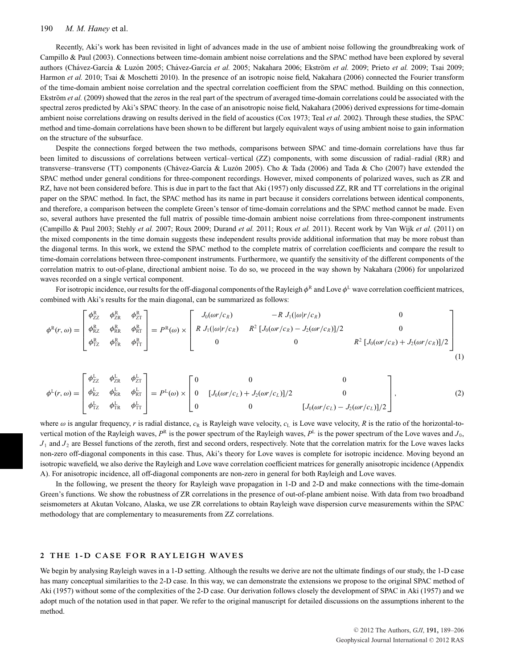Recently, Aki's work has been revisited in light of advances made in the use of ambient noise following the groundbreaking work of Campillo & Paul (2003). Connections between time-domain ambient noise correlations and the SPAC method have been explored by several authors (Chávez-García & Luzón 2005; Chávez-García et al. 2005; Nakahara 2006; Ekström et al. 2009; Prieto et al. 2009; Tsai 2009; Harmon *et al.* 2010; Tsai & Moschetti 2010). In the presence of an isotropic noise field, Nakahara (2006) connected the Fourier transform of the time-domain ambient noise correlation and the spectral correlation coefficient from the SPAC method. Building on this connection, Ekström *et al.* (2009) showed that the zeros in the real part of the spectrum of averaged time-domain correlations could be associated with the spectral zeros predicted by Aki's SPAC theory. In the case of an anisotropic noise field, Nakahara (2006) derived expressions for time-domain ambient noise correlations drawing on results derived in the field of acoustics (Cox 1973; Teal *et al.* 2002). Through these studies, the SPAC method and time-domain correlations have been shown to be different but largely equivalent ways of using ambient noise to gain information on the structure of the subsurface.

Despite the connections forged between the two methods, comparisons between SPAC and time-domain correlations have thus far been limited to discussions of correlations between vertical–vertical (ZZ) components, with some discussion of radial–radial (RR) and transverse–transverse (TT) components (Chávez-García & Luzón 2005). Cho & Tada (2006) and Tada & Cho (2007) have extended the SPAC method under general conditions for three-component recordings. However, mixed components of polarized waves, such as ZR and RZ, have not been considered before. This is due in part to the fact that Aki (1957) only discussed ZZ, RR and TT correlations in the original paper on the SPAC method. In fact, the SPAC method has its name in part because it considers correlations between identical components, and therefore, a comparison between the complete Green's tensor of time-domain correlations and the SPAC method cannot be made. Even so, several authors have presented the full matrix of possible time-domain ambient noise correlations from three-component instruments (Campillo & Paul 2003; Stehly *et al.* 2007; Roux 2009; Durand *et al.* 2011; Roux *et al.* 2011). Recent work by Van Wijk *et al.* (2011) on the mixed components in the time domain suggests these independent results provide additional information that may be more robust than the diagonal terms. In this work, we extend the SPAC method to the complete matrix of correlation coefficients and compare the result to time-domain correlations between three-component instruments. Furthermore, we quantify the sensitivity of the different components of the correlation matrix to out-of-plane, directional ambient noise. To do so, we proceed in the way shown by Nakahara (2006) for unpolarized waves recorded on a single vertical component.

For isotropic incidence, our results for the off-diagonal components of the Rayleigh  $\phi^R$  and Love  $\phi^L$  wave correlation coefficient matrices, combined with Aki's results for the main diagonal, can be summarized as follows:

$$
\phi^{R}(r,\omega) = \begin{bmatrix} \phi_{ZZ}^{R} & \phi_{ZR}^{R} & \phi_{RT}^{R} \\ \phi_{RZ}^{R} & \phi_{RR}^{R} & \phi_{RT}^{R} \\ \phi_{TZ}^{R} & \phi_{TR}^{R} & \phi_{TT}^{R} \end{bmatrix} = P^{R}(\omega) \times \begin{bmatrix} J_{0}(\omega r/c_{R}) & -R J_{1}(|\omega| r/c_{R}) & 0 \\ R J_{1}(|\omega| r/c_{R}) & R^{2} [J_{0}(\omega r/c_{R}) - J_{2}(\omega r/c_{R})]/2 & 0 \\ 0 & 0 & R^{2} [J_{0}(\omega r/c_{R}) + J_{2}(\omega r/c_{R})]/2 \end{bmatrix}
$$
(1)

$$
\phi^L(r,\omega) = \begin{bmatrix} \phi_{ZZ}^L & \phi_{ZR}^L & \phi_{ZT}^L \\ \phi_{KZ}^L & \phi_{KR}^L & \phi_{KT}^L \\ \phi_{TZ}^L & \phi_{TR}^L & \phi_{TT}^L \end{bmatrix} = P^L(\omega) \times \begin{bmatrix} 0 & 0 & 0 \\ 0 & [J_0(\omega r/c_L) + J_2(\omega r/c_L)]/2 & 0 \\ 0 & 0 & [J_0(\omega r/c_L) - J_2(\omega r/c_L)]/2 \end{bmatrix},
$$
(2)

where  $\omega$  is angular frequency, r is radial distance,  $c_R$  is Rayleigh wave velocity,  $c_L$  is Love wave velocity, R is the ratio of the horizontal-tovertical motion of the Rayleigh waves,  $P^R$  is the power spectrum of the Rayleigh waves,  $P^L$  is the power spectrum of the Love waves and *J*<sub>0</sub>,  $J_1$  and  $J_2$  are Bessel functions of the zeroth, first and second orders, respectively. Note that the correlation matrix for the Love waves lacks non-zero off-diagonal components in this case. Thus, Aki's theory for Love waves is complete for isotropic incidence. Moving beyond an isotropic wavefield, we also derive the Rayleigh and Love wave correlation coefficient matrices for generally anisotropic incidence (Appendix A). For anisotropic incidence, all off-diagonal components are non-zero in general for both Rayleigh and Love waves.

In the following, we present the theory for Rayleigh wave propagation in 1-D and 2-D and make connections with the time-domain Green's functions. We show the robustness of ZR correlations in the presence of out-of-plane ambient noise. With data from two broadband seismometers at Akutan Volcano, Alaska, we use ZR correlations to obtain Rayleigh wave dispersion curve measurements within the SPAC methodology that are complementary to measurements from ZZ correlations.

#### 2 THE 1-D CASE FOR RAYLEIGH WAVES

We begin by analysing Rayleigh waves in a 1-D setting. Although the results we derive are not the ultimate findings of our study, the 1-D case has many conceptual similarities to the 2-D case. In this way, we can demonstrate the extensions we propose to the original SPAC method of Aki (1957) without some of the complexities of the 2-D case. Our derivation follows closely the development of SPAC in Aki (1957) and we adopt much of the notation used in that paper. We refer to the original manuscript for detailed discussions on the assumptions inherent to the method.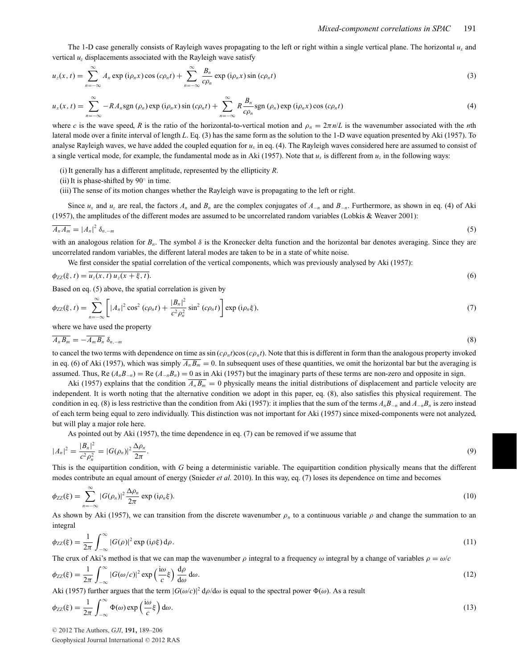The 1-D case generally consists of Rayleigh waves propagating to the left or right within a single vertical plane. The horizontal *ux* and vertical  $u<sub>z</sub>$  displacements associated with the Rayleigh wave satisfy

$$
u_z(x,t) = \sum_{n=-\infty}^{\infty} A_n \exp(i\rho_n x) \cos(c\rho_n t) + \sum_{n=-\infty}^{\infty} \frac{B_n}{c\rho_n} \exp(i\rho_n x) \sin(c\rho_n t)
$$
(3)

$$
u_x(x,t) = \sum_{n=-\infty}^{\infty} -RA_n \operatorname{sgn}(\rho_n) \operatorname{exp}(i\rho_n x) \sin(c\rho_n t) + \sum_{n=-\infty}^{\infty} R \frac{B_n}{c\rho_n} \operatorname{sgn}(\rho_n) \operatorname{exp}(i\rho_n x) \cos(c\rho_n t)
$$
(4)

where *c* is the wave speed, *R* is the ratio of the horizontal-to-vertical motion and  $\rho_n = 2\pi n/L$  is the wavenumber associated with the *n*th lateral mode over a finite interval of length *L*. Eq. (3) has the same form as the solution to the 1-D wave equation presented by Aki (1957). To analyse Rayleigh waves, we have added the coupled equation for  $u_x$  in eq. (4). The Rayleigh waves considered here are assumed to consist of a single vertical mode, for example, the fundamental mode as in Aki (1957). Note that  $u_x$  is different from  $u_z$  in the following ways:

(i) It generally has a different amplitude, represented by the ellipticity *R*.

(ii) It is phase-shifted by 90◦ in time.

(iii) The sense of its motion changes whether the Rayleigh wave is propagating to the left or right.

Since  $u_x$  and  $u_z$  are real, the factors  $A_n$  and  $B_n$  are the complex conjugates of  $A_{-n}$  and  $B_{-n}$ . Furthermore, as shown in eq. (4) of Aki (1957), the amplitudes of the different modes are assumed to be uncorrelated random variables (Lobkis & Weaver 2001):

$$
\overline{A_n A_m} = |A_n|^2 \, \delta_{n,-m} \tag{5}
$$

with an analogous relation for *Bn*. The symbol δ is the Kronecker delta function and the horizontal bar denotes averaging. Since they are uncorrelated random variables, the different lateral modes are taken to be in a state of white noise.

We first consider the spatial correlation of the vertical components, which was previously analysed by Aki (1957):

$$
\phi_{ZZ}(\xi, t) = u_z(x, t) u_z(x + \xi, t).
$$
\n(6)

\nBased on eq. (5) above, the spatial correlation is given by

$$
\phi_{ZZ}(\xi, t) = \sum_{n = -\infty}^{\infty} \left[ |A_n|^2 \cos^2 (c\rho_n t) + \frac{|B_n|^2}{c^2 \rho_n^2} \sin^2 (c\rho_n t) \right] \exp (i\rho_n \xi), \tag{7}
$$

where we have used the property

$$
\overline{A_n B_m} = -\overline{A_m B_n} \, \delta_{n,-m} \tag{8}
$$

to cancel the two terms with dependence on time as  $\sin(c\rho_n t)\cos(c\rho_n t)$ . Note that this is different in form than the analogous property invoked in eq. (6) of Aki (1957), which was simply  $\overline{A_n B_m} = 0$ . In subsequent uses of these quantities, we omit the horizontal bar but the averaging is assumed. Thus, Re  $(A_nB_{-n}) =$ Re  $(A_{-n}B_n) = 0$  as in Aki (1957) but the imaginary parts of these terms are non-zero and opposite in sign.

Aki (1957) explains that the condition  $\overline{A_n B_m} = 0$  physically means the initial distributions of displacement and particle velocity are independent. It is worth noting that the alternative condition we adopt in this paper, eq. (8), also satisfies this physical requirement. The condition in eq. (8) is less restrictive than the condition from Aki (1957): it implies that the sum of the terms *AnB*−*<sup>n</sup>* and *A*−*nBn* is zero instead of each term being equal to zero individually. This distinction was not important for Aki (1957) since mixed-components were not analyzed, but will play a major role here.

As pointed out by Aki (1957), the time dependence in eq. (7) can be removed if we assume that

$$
|A_n|^2 = \frac{|B_n|^2}{c^2 \rho_n^2} = |G(\rho_n)|^2 \frac{\Delta \rho_n}{2\pi}.
$$
\n(9)

This is the equipartition condition, with *G* being a deterministic variable. The equipartition condition physically means that the different modes contribute an equal amount of energy (Snieder *et al.* 2010). In this way, eq. (7) loses its dependence on time and becomes

$$
\phi_{ZZ}(\xi) = \sum_{n=-\infty}^{\infty} |G(\rho_n)|^2 \frac{\Delta \rho_n}{2\pi} \exp(i\rho_n \xi).
$$
\n(10)

As shown by Aki (1957), we can transition from the discrete wavenumber  $\rho_n$  to a continuous variable  $\rho$  and change the summation to an integral

$$
\phi_{ZZ}(\xi) = \frac{1}{2\pi} \int_{-\infty}^{\infty} |G(\rho)|^2 \exp(i\rho\xi) d\rho.
$$
\n(11)

The crux of Aki's method is that we can map the wavenumber  $\rho$  integral to a frequency  $\omega$  integral by a change of variables  $\rho = \omega/c$ 

$$
\phi_{ZZ}(\xi) = \frac{1}{2\pi} \int_{-\infty}^{\infty} |G(\omega/c)|^2 \exp\left(\frac{i\omega}{c}\xi\right) \frac{d\rho}{d\omega} d\omega.
$$
\n(12)

Aki (1957) further argues that the term  $|G(\omega/c)|^2 d\rho/d\omega$  is equal to the spectral power  $\Phi(\omega)$ . As a result

$$
\phi_{ZZ}(\xi) = \frac{1}{2\pi} \int_{-\infty}^{\infty} \Phi(\omega) \exp\left(\frac{i\omega}{c}\xi\right) d\omega.
$$
 (13)

© 2012 The Authors, *GJI*, 191, 189-206

Geophysical Journal International © 2012 RAS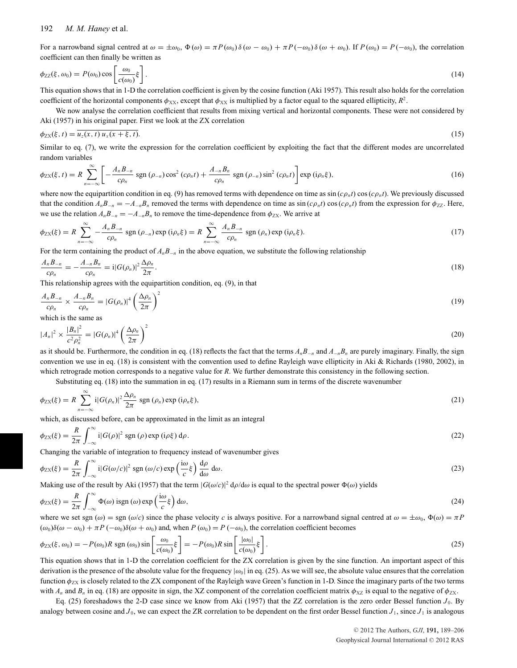For a narrowband signal centred at  $\omega = \pm \omega_0$ ,  $\Phi(\omega) = \pi P(\omega_0) \delta(\omega - \omega_0) + \pi P(-\omega_0) \delta(\omega + \omega_0)$ . If  $P(\omega_0) = P(-\omega_0)$ , the correlation coefficient can then finally be written as

$$
\phi_{ZZ}(\xi,\omega_0) = P(\omega_0)\cos\left[\frac{\omega_0}{c(\omega_0)}\xi\right].\tag{14}
$$

This equation shows that in 1-D the correlation coefficient is given by the cosine function (Aki 1957). This result also holds for the correlation coefficient of the horizontal components  $\phi_{XX}$ , except that  $\phi_{XX}$  is multiplied by a factor equal to the squared ellipticity,  $R^2$ .

We now analyse the correlation coefficient that results from mixing vertical and horizontal components. These were not considered by Aki (1957) in his original paper. First we look at the ZX correlation

$$
\phi_{\text{ZX}}(\xi, t) = \overline{u_z(x, t) u_x(x + \xi, t)}.\tag{15}
$$

Similar to eq. (7), we write the expression for the correlation coefficient by exploiting the fact that the different modes are uncorrelated random variables

$$
\phi_{ZX}(\xi, t) = R \sum_{n=-\infty}^{\infty} \left[ -\frac{A_n B_{-n}}{c \rho_n} \operatorname{sgn} \left( \rho_{-n} \right) \cos^2 \left( c \rho_n t \right) + \frac{A_{-n} B_n}{c \rho_n} \operatorname{sgn} \left( \rho_{-n} \right) \sin^2 \left( c \rho_n t \right) \right] \exp \left( i \rho_n \xi \right), \tag{16}
$$

where now the equipartition condition in eq. (9) has removed terms with dependence on time as  $\sin(c\rho_n t)$  cos  $(c\rho_n t)$ . We previously discussed that the condition  $A_n B_{-n} = -A_{-n} B_n$  removed the terms with dependence on time as  $\sin(c\rho_n t) \cos(c\rho_n t)$  from the expression for  $\phi_{ZZ}$ . Here, we use the relation  $A_nB_{-n} = -A_{-n}B_n$  to remove the time-dependence from  $\phi_{ZX}$ . We arrive at

$$
\phi_{ZX}(\xi) = R \sum_{n=-\infty}^{\infty} -\frac{A_n B_{-n}}{c \rho_n} \text{ sgn } (\rho_{-n}) \text{ exp } (\mathbf{i} \rho_n \xi) = R \sum_{n=-\infty}^{\infty} \frac{A_n B_{-n}}{c \rho_n} \text{ sgn } (\rho_n) \text{ exp } (\mathbf{i} \rho_n \xi).
$$
 (17)

For the term containing the product of  $A_nB_{-n}$  in the above equation, we substitute the following relationship

$$
\frac{A_n B_{-n}}{c\rho_n} = -\frac{A_{-n} B_n}{c\rho_n} = i|G(\rho_n)|^2 \frac{\Delta \rho_n}{2\pi}.
$$
\n(18)

This relationship agrees with the equipartition condition, eq. (9), in that

$$
\frac{A_n B_{-n}}{c\rho_n} \times \frac{A_{-n} B_n}{c\rho_n} = |G(\rho_n)|^4 \left(\frac{\Delta \rho_n}{2\pi}\right)^2
$$
\n(19)

which is the same as

$$
|A_n|^2 \times \frac{|B_n|^2}{c^2 \rho_n^2} = |G(\rho_n)|^4 \left(\frac{\Delta \rho_n}{2\pi}\right)^2
$$
\n(20)

as it should be. Furthermore, the condition in eq. (18) reflects the fact that the terms  $A_nB_{-n}$  and  $A_{-n}B_n$  are purely imaginary. Finally, the sign convention we use in eq. (18) is consistent with the convention used to define Rayleigh wave ellipticity in Aki & Richards (1980, 2002), in which retrograde motion corresponds to a negative value for *R*. We further demonstrate this consistency in the following section.

Substituting eq. (18) into the summation in eq. (17) results in a Riemann sum in terms of the discrete wavenumber

$$
\phi_{ZX}(\xi) = R \sum_{n=-\infty}^{\infty} i |G(\rho_n)|^2 \frac{\Delta \rho_n}{2\pi} \text{ sgn }(\rho_n) \text{ exp } (i\rho_n \xi), \qquad (21)
$$

which, as discussed before, can be approximated in the limit as an integral

$$
\phi_{\rm ZX}(\xi) = \frac{R}{2\pi} \int_{-\infty}^{\infty} \mathrm{i} |G(\rho)|^2 \, \mathrm{sgn}\,(\rho) \exp\left(\mathrm{i}\rho\xi\right) \mathrm{d}\rho. \tag{22}
$$

Changing the variable of integration to frequency instead of wavenumber gives

$$
\phi_{ZX}(\xi) = \frac{R}{2\pi} \int_{-\infty}^{\infty} i|G(\omega/c)|^2 \operatorname{sgn}(\omega/c) \exp\left(\frac{i\omega}{c}\xi\right) \frac{d\rho}{d\omega} d\omega.
$$
\n(23)

Making use of the result by Aki (1957) that the term  $|G(\omega/c)|^2 d\rho/d\omega$  is equal to the spectral power  $\Phi(\omega)$  yields

$$
\phi_{ZX}(\xi) = \frac{R}{2\pi} \int_{-\infty}^{\infty} \Phi(\omega) \text{ isgn}(\omega) \exp\left(\frac{\mathrm{i}\omega}{c}\xi\right) \mathrm{d}\omega,\tag{24}
$$

where we set sgn ( $\omega$ ) = sgn ( $\omega/c$ ) since the phase velocity *c* is always positive. For a narrowband signal centred at  $\omega = \pm \omega_0$ ,  $\Phi(\omega) = \pi P$  $(\omega_0)\delta(\omega - \omega_0) + \pi P(-\omega_0)\delta(\omega + \omega_0)$  and, when  $P(\omega_0) = P(-\omega_0)$ , the correlation coefficient becomes

$$
\phi_{ZX}(\xi, \omega_0) = -P(\omega_0)R \operatorname{sgn}(\omega_0) \sin\left[\frac{\omega_0}{c(\omega_0)}\xi\right] = -P(\omega_0)R \sin\left[\frac{|\omega_0|}{c(\omega_0)}\xi\right].\tag{25}
$$

This equation shows that in 1-D the correlation coefficient for the ZX correlation is given by the sine function. An important aspect of this derivation is the presence of the absolute value for the frequency  $|\omega_0|$  in eq. (25). As we will see, the absolute value ensures that the correlation function  $\phi_{\gamma X}$  is closely related to the ZX component of the Rayleigh wave Green's function in 1-D. Since the imaginary parts of the two terms with  $A_n$  and  $B_n$  in eq. (18) are opposite in sign, the XZ component of the correlation coefficient matrix  $\phi_{XZ}$  is equal to the negative of  $\phi_{ZX}$ .

Eq.  $(25)$  foreshadows the 2-D case since we know from Aki  $(1957)$  that the ZZ correlation is the zero order Bessel function  $J_0$ . By analogy between cosine and  $J_0$ , we can expect the ZR correlation to be dependent on the first order Bessel function  $J_1$ , since  $J_1$  is analogous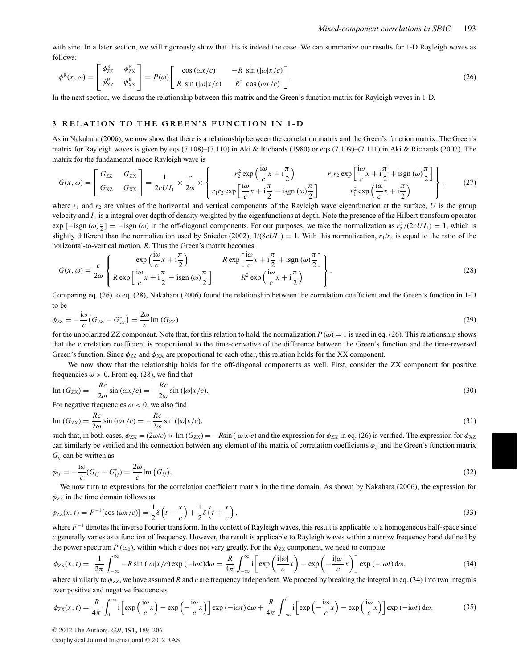with sine. In a later section, we will rigorously show that this is indeed the case. We can summarize our results for 1-D Rayleigh waves as follows:

$$
\phi^{R}(x,\omega) = \begin{bmatrix} \phi^{R}_{ZZ} & \phi^{R}_{ZX} \\ \phi^{R}_{XZ} & \phi^{R}_{XX} \end{bmatrix} = P(\omega) \begin{bmatrix} \cos(\omega x/c) & -R\sin(|\omega|x/c) \\ R\sin(|\omega|x/c) & R^{2}\cos(\omega x/c) \end{bmatrix}.
$$
 (26)

In the next section, we discuss the relationship between this matrix and the Green's function matrix for Rayleigh waves in 1-D.

#### **3 RELATION TO THE GREEN'S FUNCTION IN 1 -D**

As in Nakahara (2006), we now show that there is a relationship between the correlation matrix and the Green's function matrix. The Green's matrix for Rayleigh waves is given by eqs (7.108)–(7.110) in Aki & Richards (1980) or eqs (7.109)–(7.111) in Aki & Richards (2002). The matrix for the fundamental mode Rayleigh wave is

$$
G(x,\omega) = \begin{bmatrix} G_{ZZ} & G_{ZX} \\ G_{XZ} & G_{XX} \end{bmatrix} = \frac{1}{2cUI_1} \times \frac{c}{2\omega} \times \left\{ \begin{aligned} r_2^2 \exp\left(\frac{i\omega}{c}x + i\frac{\pi}{2}\right) & r_1 r_2 \exp\left[\frac{i\omega}{c}x + i\frac{\pi}{2} + i \text{sgn}(\omega)\frac{\pi}{2}\right] \\ r_1 r_2 \exp\left[\frac{i\omega}{c}x + i\frac{\pi}{2} - i \text{sgn}(\omega)\frac{\pi}{2}\right] & r_1^2 \exp\left(\frac{i\omega}{c}x + i\frac{\pi}{2}\right) \end{aligned} \right\},\tag{27}
$$

where  $r_1$  and  $r_2$  are values of the horizontal and vertical components of the Rayleigh wave eigenfunction at the surface, *U* is the group velocity and  $I_1$  is a integral over depth of density weighted by the eigenfunctions at depth. Note the presence of the Hilbert transform operator  $\exp\left[-\text{isgn } (\omega)\frac{\pi}{2}\right] = -\text{isgn } (\omega)$  in the off-diagonal components. For our purposes, we take the normalization as  $r_2^2/(2cUI_1) = 1$ , which is slightly different than the normalization used by Snieder (2002),  $1/(8cU_1) = 1$ . With this normalization,  $r_1/r_2$  is equal to the ratio of the horizontal-to-vertical motion, *R*. Thus the Green's matrix becomes

$$
G(x,\omega) = \frac{c}{2\omega} \left\{ \begin{array}{c} \exp\left(\frac{i\omega}{c}x + i\frac{\pi}{2}\right) & R \exp\left[\frac{i\omega}{c}x + i\frac{\pi}{2} + i\text{sgn}(\omega)\frac{\pi}{2}\right] \\ R \exp\left[\frac{i\omega}{c}x + i\frac{\pi}{2} - i\text{sgn}(\omega)\frac{\pi}{2}\right] & R^2 \exp\left(\frac{i\omega}{c}x + i\frac{\pi}{2}\right) \end{array} \right\}.
$$
 (28)

Comparing eq. (26) to eq. (28), Nakahara (2006) found the relationship between the correlation coefficient and the Green's function in 1-D to be

$$
\phi_{ZZ} = -\frac{\mathrm{i}\omega}{c} \left( G_{ZZ} - G_{ZZ}^* \right) = \frac{2\omega}{c} \mathrm{Im} \left( G_{ZZ} \right) \tag{29}
$$

for the unpolarized ZZ component. Note that, for this relation to hold, the normalization  $P(\omega) = 1$  is used in eq. (26). This relationship shows that the correlation coefficient is proportional to the time-derivative of the difference between the Green's function and the time-reversed Green's function. Since  $\phi_{ZZ}$  and  $\phi_{XX}$  are proportional to each other, this relation holds for the XX component.

We now show that the relationship holds for the off-diagonal components as well. First, consider the ZX component for positive frequencies  $\omega > 0$ . From eq. (28), we find that

$$
\operatorname{Im}\left(G_{ZX}\right) = -\frac{Rc}{2\omega}\sin\left(\omega x/c\right) = -\frac{Rc}{2\omega}\sin\left(|\omega|x/c\right).
$$
\n(30)

For negative frequencies  $\omega$  < 0, we also find

$$
\operatorname{Im}\left(G_{ZX}\right) = \frac{Rc}{2\omega}\sin\left(\omega x/c\right) = -\frac{Rc}{2\omega}\sin\left(\left|\omega\right|x/c\right).
$$
\n(31)

such that, in both cases,  $\phi_{ZX} = (2\omega/c) \times \text{Im}(G_{ZX}) = -R\sin(|\omega|x/c)$  and the expression for  $\phi_{ZX}$  in eq. (26) is verified. The expression for  $\phi_{XZ}$ can similarly be verified and the connection between any element of the matrix of correlation coefficients φ*ij* and the Green's function matrix *Gij* can be written as

$$
\phi_{ij} = -\frac{\mathrm{i}\omega}{c}(G_{ij} - G_{ij}^*) = \frac{2\omega}{c}\mathrm{Im}(G_{ij}).
$$
\n(32)

We now turn to expressions for the correlation coefficient matrix in the time domain. As shown by Nakahara (2006), the expression for  $\phi_{ZZ}$  in the time domain follows as:

$$
\phi_{ZZ}(x,t) = F^{-1}[\cos(\omega x/c)] = \frac{1}{2}\delta\left(t - \frac{x}{c}\right) + \frac{1}{2}\delta\left(t + \frac{x}{c}\right),\tag{33}
$$

where *F*<sup>−1</sup> denotes the inverse Fourier transform. In the context of Rayleigh waves, this result is applicable to a homogeneous half-space since *c* generally varies as a function of frequency. However, the result is applicable to Rayleigh waves within a narrow frequency band defined by the power spectrum *P* ( $\omega_0$ ), within which *c* does not vary greatly. For the  $\phi_{ZX}$  component, we need to compute

$$
\phi_{ZX}(x,t) = \frac{1}{2\pi} \int_{-\infty}^{\infty} -R \sin(|\omega|x/c) \exp(-i\omega t) d\omega = \frac{R}{4\pi} \int_{-\infty}^{\infty} i \left[ \exp\left(\frac{i|\omega|}{c}x\right) - \exp\left(-\frac{i|\omega|}{c}x\right) \right] \exp(-i\omega t) d\omega, \tag{34}
$$

where similarly to  $\phi_{ZZ}$ , we have assumed *R* and *c* are frequency independent. We proceed by breaking the integral in eq. (34) into two integrals over positive and negative frequencies

$$
\phi_{ZX}(x,t) = \frac{R}{4\pi} \int_0^\infty i \left[ \exp\left(\frac{i\omega}{c}x\right) - \exp\left(-\frac{i\omega}{c}x\right) \right] \exp\left(-i\omega t\right) d\omega + \frac{R}{4\pi} \int_{-\infty}^0 i \left[ \exp\left(-\frac{i\omega}{c}x\right) - \exp\left(\frac{i\omega}{c}x\right) \right] \exp\left(-i\omega t\right) d\omega. \tag{35}
$$

© 2012 The Authors, *GJI*, 191, 189-206

Geophysical Journal International © 2012 RAS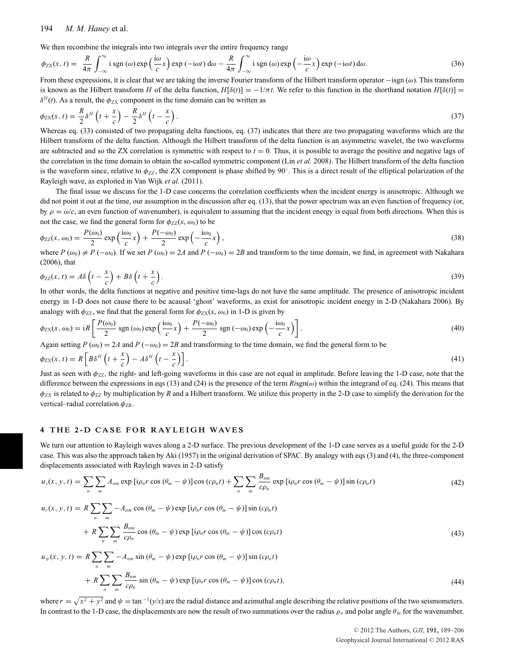We then recombine the integrals into two integrals over the entire frequency range

$$
\phi_{\rm ZX}(x,t) = \frac{R}{4\pi} \int_{-\infty}^{\infty} \mathbf{i} \operatorname{sgn}(\omega) \exp\left(\frac{\mathbf{i}\omega}{c}x\right) \exp\left(-\mathbf{i}\omega t\right) d\omega - \frac{R}{4\pi} \int_{-\infty}^{\infty} \mathbf{i} \operatorname{sgn}(\omega) \exp\left(-\frac{\mathbf{i}\omega}{c}x\right) \exp\left(-\mathbf{i}\omega t\right) d\omega. \tag{36}
$$

From these expressions, it is clear that we are taking the inverse Fourier transform of the Hilbert transform operator −isgn  $(\omega)$ . This transform is known as the Hilbert transform *H* of the delta function,  $H[\delta(t)] = -1/\pi t$ . We refer to this function in the shorthand notation  $H[\delta(t)] =$  $\delta^H(t)$ . As a result, the  $\phi_{ZX}$  component in the time domain can be written as

$$
\phi_{\rm ZX}(x,t) = \frac{R}{2} \delta^H \left( t + \frac{x}{c} \right) - \frac{R}{2} \delta^H \left( t - \frac{x}{c} \right). \tag{37}
$$

Whereas eq. (33) consisted of two propagating delta functions, eq. (37) indicates that there are two propagating waveforms which are the Hilbert transform of the delta function. Although the Hilbert transform of the delta function is an asymmetric wavelet, the two waveforms are subtracted and so the ZX correlation is symmetric with respect to  $t = 0$ . Thus, it is possible to average the positive and negative lags of the correlation in the time domain to obtain the so-called symmetric component (Lin *et al.* 2008). The Hilbert transform of the delta function is the waveform since, relative to  $\phi_{ZZ}$ , the ZX component is phase shifted by 90°. This is a direct result of the elliptical polarization of the Rayleigh wave, as exploited in Van Wijk *et al.* (2011).

The final issue we discuss for the 1-D case concerns the correlation coefficients when the incident energy is anisotropic. Although we did not point it out at the time, our assumption in the discussion after eq. (13), that the power spectrum was an even function of frequency (or, by  $\rho = \omega/c$ , an even function of wavenumber), is equivalent to assuming that the incident energy is equal from both directions. When this is not the case, we find the general form for  $\phi_{ZZ}(x, \omega_0)$  to be

$$
\phi_{ZZ}(x,\omega_0) = \frac{P(\omega_0)}{2} \exp\left(\frac{i\omega_0}{c}x\right) + \frac{P(-\omega_0)}{2} \exp\left(-\frac{i\omega_0}{c}x\right),\tag{38}
$$

where  $P(\omega_0) \neq P(-\omega_0)$ . If we set  $P(\omega_0) = 2A$  and  $P(-\omega_0) = 2B$  and transform to the time domain, we find, in agreement with Nakahara (2006), that

$$
\phi_{ZZ}(x,t) = A\delta\left(t - \frac{x}{c}\right) + B\delta\left(t + \frac{x}{c}\right). \tag{39}
$$

In other words, the delta functions at negative and positive time-lags do not have the same amplitude. The presence of anisotropic incident energy in 1-D does not cause there to be acausal 'ghost' waveforms, as exist for anisotropic incident energy in 2-D (Nakahara 2006). By analogy with  $\phi_{ZZ}$ , we find that the general form for  $\phi_{ZX}(x, \omega_0)$  in 1-D is given by

$$
\phi_{\rm ZX}(x,\omega_0) = iR \left[ \frac{P(\omega_0)}{2} \operatorname{sgn}(\omega_0) \operatorname{exp}\left(\frac{i\omega_0}{c}x\right) + \frac{P(-\omega_0)}{2} \operatorname{sgn}(-\omega_0) \operatorname{exp}\left(-\frac{i\omega_0}{c}x\right) \right].
$$
\n(40)

Again setting  $P(\omega_0) = 2A$  and  $P(-\omega_0) = 2B$  and transforming to the time domain, we find the general form to be

$$
\phi_{ZX}(x,t) = R \left[ B \delta^H \left( t + \frac{x}{c} \right) - A \delta^H \left( t - \frac{x}{c} \right) \right].
$$
\n(41)

Just as seen with  $\phi_{ZZ}$ , the right- and left-going waveforms in this case are not equal in amplitude. Before leaving the 1-D case, note that the difference between the expressions in eqs (13) and (24) is the presence of the term  $Risgn(\omega)$  within the integrand of eq. (24). This means that  $\phi_{ZX}$  is related to  $\phi_{ZZ}$  by multiplication by *R* and a Hilbert transform. We utilize this property in the 2-D case to simplify the derivation for the vertical–radial correlation  $\phi_{\rm ZR}$ .

#### **4 THE 2-D CASE FOR RAYLEIGH WAVES**

We turn our attention to Rayleigh waves along a 2-D surface. The previous development of the 1-D case serves as a useful guide for the 2-D case. This was also the approach taken by Aki (1957) in the original derivation of SPAC. By analogy with eqs (3) and (4), the three-component displacements associated with Rayleigh waves in 2-D satisfy

$$
u_z(x, y, t) = \sum_{n} \sum_{m} A_{nm} \exp\left[i\rho_n r \cos\left(\theta_m - \psi\right)\right] \cos\left(c\rho_n t\right) + \sum_{n} \sum_{m} \frac{B_{nm}}{c\rho_n} \exp\left[i\rho_n r \cos\left(\theta_m - \psi\right)\right] \sin\left(c\rho_n t\right) \tag{42}
$$

$$
u_r(x, y, t) = R \sum_{n} \sum_{m} -A_{nm} \cos (\theta_m - \psi) \exp [i\rho_n r \cos (\theta_m - \psi)] \sin (c\rho_n t)
$$
  
+ 
$$
R \sum_{n} \sum_{m} \sum_{m} \frac{B_{nm}}{c\rho_n} \cos (\theta_m - \psi) \exp [i\rho_n r \cos (\theta_m - \psi)] \cos (c\rho_n t)
$$
(43)

$$
u_{\psi}(x, y, t) = R \sum_{n} \sum_{m} -A_{nm} \sin (\theta_{m} - \psi) \exp [i\rho_{n} r \cos (\theta_{m} - \psi)] \sin (c\rho_{n} t)
$$
  
+ 
$$
R \sum_{n} \sum_{m} \frac{B_{nm}}{c\rho_{n}} \sin (\theta_{m} - \psi) \exp [i\rho_{n} r \cos (\theta_{m} - \psi)] \cos (c\rho_{n} t),
$$
 (44)

where  $r = \sqrt{x^2 + y^2}$  and  $\psi = \tan^{-1}(y/x)$  are the radial distance and azimuthal angle describing the relative positions of the two seismometers. In contrast to the 1-D case, the displacements are now the result of two summations over the radius  $\rho_n$  and polar angle  $\theta_m$  for the wavenumber.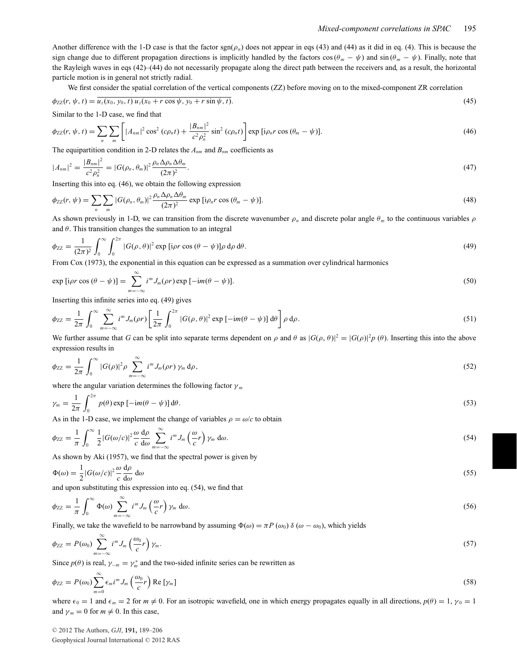Another difference with the 1-D case is that the factor sgn(ρ*n*) does not appear in eqs (43) and (44) as it did in eq. (4). This is because the sign change due to different propagation directions is implicitly handled by the factors  $\cos(\theta_m - \psi)$  and  $\sin(\theta_m - \psi)$ . Finally, note that the Rayleigh waves in eqs (42)–(44) do not necessarily propagate along the direct path between the receivers and, as a result, the horizontal particle motion is in general not strictly radial.

We first consider the spatial correlation of the vertical components (ZZ) before moving on to the mixed-component ZR correlation

$$
\phi_{ZZ}(r, \psi, t) = \overline{u_z(x_0, y_0, t) u_z(x_0 + r \cos \psi, y_0 + r \sin \psi, t)}.
$$
\n(45)

Similar to the 1-D case, we find that

$$
\phi_{ZZ}(r, \psi, t) = \sum_{n} \sum_{m} \left[ |A_{nm}|^2 \cos^2 (c\rho_n t) + \frac{|B_{nm}|^2}{c^2 \rho_n^2} \sin^2 (c\rho_n t) \right] \exp \left[ i\rho_n r \cos (\theta_m - \psi) \right]. \tag{46}
$$

The equipartition condition in 2-D relates the  $A_{nm}$  and  $B_{nm}$  coefficients as

$$
|A_{nm}|^2 = \frac{|B_{nm}|^2}{c^2 \rho_n^2} = |G(\rho_n, \theta_m)|^2 \frac{\rho_n \Delta \rho_n \Delta \theta_m}{(2\pi)^2}.
$$
\n(47)

Inserting this into eq. (46), we obtain the following expression

$$
\phi_{ZZ}(r,\psi) = \sum_{n} \sum_{m} |G(\rho_n, \theta_m)|^2 \frac{\rho_n \Delta \rho_n \Delta \theta_m}{(2\pi)^2} \exp [i\rho_n r \cos (\theta_m - \psi)]. \tag{48}
$$

As shown previously in 1-D, we can transition from the discrete wavenumber  $\rho_n$  and discrete polar angle  $\theta_m$  to the continuous variables  $\rho$ and  $\theta$ . This transition changes the summation to an integral

$$
\phi_{ZZ} = \frac{1}{(2\pi)^2} \int_0^\infty \int_0^{2\pi} |G(\rho, \theta)|^2 \exp\left[i\rho r \cos(\theta - \psi)\right] \rho \, d\rho \, d\theta. \tag{49}
$$

From Cox (1973), the exponential in this equation can be expressed as a summation over cylindrical harmonics

$$
\exp\left[i\rho r\cos\left(\theta-\psi\right)\right]=\sum_{m=-\infty}^{\infty}i^{m}J_{m}(\rho r)\exp\left[-im(\theta-\psi)\right].\tag{50}
$$

Inserting this infinite series into eq. (49) gives

$$
\phi_{ZZ} = \frac{1}{2\pi} \int_0^\infty \sum_{m=-\infty}^\infty i^m J_m(\rho r) \left[ \frac{1}{2\pi} \int_0^{2\pi} |G(\rho,\theta)|^2 \exp\left[-im(\theta-\psi)\right] d\theta \right] \rho d\rho. \tag{51}
$$

We further assume that *G* can be split into separate terms dependent on  $\rho$  and  $\theta$  as  $|G(\rho, \theta)|^2 = |G(\rho)|^2 p(\theta)$ . Inserting this into the above expression results in

$$
\phi_{ZZ} = \frac{1}{2\pi} \int_0^\infty |G(\rho)|^2 \rho \sum_{m=-\infty}^\infty i^m J_m(\rho r) \gamma_m d\rho, \qquad (52)
$$

where the angular variation determines the following factor  $\gamma_m$ 

$$
\gamma_m = \frac{1}{2\pi} \int_0^{2\pi} p(\theta) \exp\left[-\mathrm{i}m(\theta - \psi)\right] \mathrm{d}\theta. \tag{53}
$$

As in the 1-D case, we implement the change of variables  $\rho = \omega/c$  to obtain

$$
\phi_{ZZ} = \frac{1}{\pi} \int_0^\infty \frac{1}{2} |G(\omega/c)|^2 \frac{\omega}{c} \frac{d\rho}{d\omega} \sum_{m=-\infty}^\infty i^m J_m\left(\frac{\omega}{c}r\right) \gamma_m d\omega.
$$
\n(54)

As shown by Aki (1957), we find that the spectral power is given by

$$
\Phi(\omega) = \frac{1}{2} |G(\omega/c)|^2 \frac{\omega}{c} \frac{d\rho}{d\omega} d\omega \tag{55}
$$

and upon substituting this expression into eq. (54), we find that

$$
\phi_{ZZ} = \frac{1}{\pi} \int_0^\infty \Phi(\omega) \sum_{m=-\infty}^\infty i^m J_m\left(\frac{\omega}{c}r\right) \gamma_m d\omega. \tag{56}
$$

Finally, we take the wavefield to be narrowband by assuming  $\Phi(\omega) = \pi P(\omega_0) \delta(\omega - \omega_0)$ , which yields

$$
\phi_{ZZ} = P(\omega_0) \sum_{m=-\infty}^{\infty} i^m J_m \left(\frac{\omega_0}{c} r\right) \gamma_m. \tag{57}
$$

Since  $p(\theta)$  is real,  $\gamma_{-m} = \gamma_m^*$  and the two-sided infinite series can be rewritten as

$$
\phi_{ZZ} = P(\omega_0) \sum_{m=0}^{\infty} \epsilon_m i^m J_m \left(\frac{\omega_0}{c} r\right) \text{Re} \left[\gamma_m\right] \tag{58}
$$

where  $\epsilon_0 = 1$  and  $\epsilon_m = 2$  for  $m \neq 0$ . For an isotropic wavefield, one in which energy propagates equally in all directions,  $p(\theta) = 1$ ,  $\gamma_0 = 1$ and  $\gamma_m = 0$  for  $m \neq 0$ . In this case,

© 2012 The Authors, *GJI*, 191, 189-206 Geophysical Journal International © 2012 RAS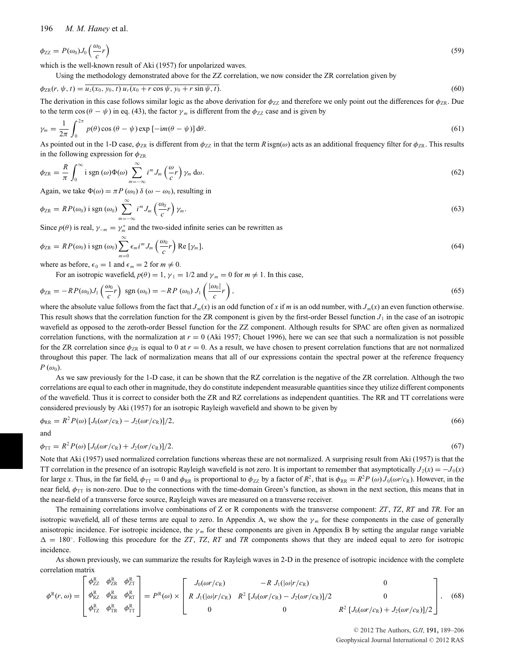$$
\phi_{ZZ} = P(\omega_0) J_0 \left( \frac{\omega_0}{c} r \right) \tag{59}
$$

which is the well-known result of Aki (1957) for unpolarized waves.

Using the methodology demonstrated above for the ZZ correlation, we now consider the ZR correlation given by

$$
\phi_{\rm ZR}(r,\psi,t) = u_z(x_0,y_0,t) \, u_r(x_0 + r \cos \psi, y_0 + r \sin \psi, t). \tag{60}
$$

The derivation in this case follows similar logic as the above derivation for  $\phi_{ZZ}$  and therefore we only point out the differences for  $\phi_{ZR}$ . Due to the term cos ( $\theta - \psi$ ) in eq. (43), the factor  $\gamma_m$  is different from the  $\phi_{ZZ}$  case and is given by

$$
\gamma_m = \frac{1}{2\pi} \int_0^{2\pi} p(\theta) \cos(\theta - \psi) \exp\left[-\mathrm{i}m(\theta - \psi)\right] \mathrm{d}\theta. \tag{61}
$$

As pointed out in the 1-D case,  $\phi_{\text{ZR}}$  is different from  $\phi_{\text{ZZ}}$  in that the term *R* isgn( $\omega$ ) acts as an additional frequency filter for  $\phi_{\text{ZR}}$ . This results in the following expression for  $\phi_{ZR}$ 

$$
\phi_{\rm ZR} = \frac{R}{\pi} \int_0^\infty \mathbf{i} \, \text{sgn} \, (\omega) \Phi(\omega) \sum_{m=-\infty}^\infty i^m J_m \left( \frac{\omega}{c} r \right) \gamma_m \, \mathrm{d}\omega. \tag{62}
$$

Again, we take  $\Phi(\omega) = \pi P(\omega_0) \delta(\omega - \omega_0)$ , resulting in

$$
\phi_{\rm ZR} = RP(\omega_0) \text{ i sgn } (\omega_0) \sum_{m=-\infty}^{\infty} i^m J_m\left(\frac{\omega_0}{c}r\right) \gamma_m. \tag{63}
$$

Since  $p(\theta)$  is real,  $\gamma_{-m} = \gamma_m^*$  and the two-sided infinite series can be rewritten as

$$
\phi_{\text{ZR}} = RP(\omega_0) \text{ i sgn } (\omega_0) \sum_{m=0}^{\infty} \epsilon_m i^m J_m \left(\frac{\omega_0}{c} r\right) \text{Re} \left[\gamma_m\right],\tag{64}
$$

where as before,  $\epsilon_0 = 1$  and  $\epsilon_m = 2$  for  $m \neq 0$ .

For an isotropic wavefield,  $p(\theta) = 1$ ,  $\gamma_1 = 1/2$  and  $\gamma_m = 0$  for  $m \neq 1$ . In this case,

$$
\phi_{\rm ZR} = -RP(\omega_0)J_1\left(\frac{\omega_0}{c}r\right) \,\text{sgn}\left(\omega_0\right) = -RP\left(\omega_0\right)J_1\left(\frac{|\omega_0|}{c}r\right),\tag{65}
$$

where the absolute value follows from the fact that  $J_m(x)$  is an odd function of *x* if *m* is an odd number, with  $J_m(x)$  an even function otherwise. This result shows that the correlation function for the ZR component is given by the first-order Bessel function  $J_1$  in the case of an isotropic wavefield as opposed to the zeroth-order Bessel function for the ZZ component. Although results for SPAC are often given as normalized correlation functions, with the normalization at  $r = 0$  (Aki 1957; Chouet 1996), here we can see that such a normalization is not possible for the ZR correlation since  $\phi_{\text{ZR}}$  is equal to 0 at  $r = 0$ . As a result, we have chosen to present correlation functions that are not normalized throughout this paper. The lack of normalization means that all of our expressions contain the spectral power at the reference frequency  $P(\omega_0)$ .

As we saw previously for the 1-D case, it can be shown that the RZ correlation is the negative of the ZR correlation. Although the two correlations are equal to each other in magnitude, they do constitute independent measurable quantities since they utilize different components of the wavefield. Thus it is correct to consider both the ZR and RZ correlations as independent quantities. The RR and TT correlations were considered previously by Aki (1957) for an isotropic Rayleigh wavefield and shown to be given by

$$
\phi_{\rm RR} = R^2 P(\omega) \left[ J_0(\omega r/c_{\rm R}) - J_2(\omega r/c_{\rm R}) \right] / 2, \tag{66}
$$

and

$$
\phi_{TT} = R^2 P(\omega) \left[ J_0(\omega r/c_R) + J_2(\omega r/c_R) \right] / 2. \tag{67}
$$

Note that Aki (1957) used normalized correlation functions whereas these are not normalized. A surprising result from Aki (1957) is that the TT correlation in the presence of an isotropic Rayleigh wavefield is not zero. It is important to remember that asymptotically  $J_2(x) = -J_0(x)$ for large *x*. Thus, in the far field,  $\phi_{TT} = 0$  and  $\phi_{RR}$  is proportional to  $\phi_{ZZ}$  by a factor of  $R^2$ , that is  $\phi_{RR} = R^2 P(\omega) J_0(\omega r/c_R)$ . However, in the near field,  $\phi_{TT}$  is non-zero. Due to the connections with the time-domain Green's function, as shown in the next section, this means that in the near-field of a transverse force source, Rayleigh waves are measured on a transverse receiver.

The remaining correlations involve combinations of Z or R components with the transverse component: *ZT*, *TZ*, *RT* and *TR*. For an isotropic wavefield, all of these terms are equal to zero. In Appendix A, we show the  $\gamma_m$  for these components in the case of generally anisotropic incidence. For isotropic incidence, the  $\gamma_m$  for these components are given in Appendix B by setting the angular range variable  $\Delta = 180^\circ$ . Following this procedure for the *ZT*, *TZ*, *RT* and *TR* components shows that they are indeed equal to zero for isotropic incidence.

As shown previously, we can summarize the results for Rayleigh waves in 2-D in the presence of isotropic incidence with the complete correlation matrix

$$
\phi^{R}(r,\omega) = \begin{bmatrix} \phi_{ZZ}^{R} & \phi_{ZR}^{R} \\ \phi_{RZ}^{R} & \phi_{RR}^{R} & \phi_{RT}^{R} \\ \phi_{TZ}^{R} & \phi_{TR}^{R} & \phi_{RT}^{R} \end{bmatrix} = P^{R}(\omega) \times \begin{bmatrix} J_{0}(\omega r/c_{R}) & -R J_{1}(|\omega|r/c_{R}) & 0 \\ R J_{1}(|\omega|r/c_{R}) & R^{2} [J_{0}(\omega r/c_{R}) - J_{2}(\omega r/c_{R})]/2 & 0 \\ 0 & 0 & R^{2} [J_{0}(\omega r/c_{R}) + J_{2}(\omega r/c_{R})]/2 \end{bmatrix},
$$
(68)

© 2012 The Authors, *GJI*, 191, 189-206 Geophysical Journal International © 2012 RAS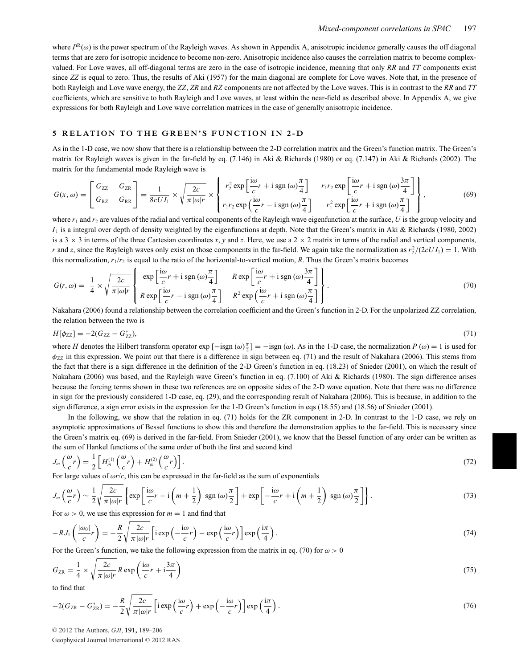where  $P^R(\omega)$  is the power spectrum of the Rayleigh waves. As shown in Appendix A, anisotropic incidence generally causes the off diagonal terms that are zero for isotropic incidence to become non-zero. Anisotropic incidence also causes the correlation matrix to become complexvalued. For Love waves, all off-diagonal terms are zero in the case of isotropic incidence, meaning that only *RR* and *TT* components exist since *ZZ* is equal to zero. Thus, the results of Aki (1957) for the main diagonal are complete for Love waves. Note that, in the presence of both Rayleigh and Love wave energy, the *ZZ*, *ZR* and *RZ* components are not affected by the Love waves. This is in contrast to the *RR* and *TT* coefficients, which are sensitive to both Rayleigh and Love waves, at least within the near-field as described above. In Appendix A, we give expressions for both Rayleigh and Love wave correlation matrices in the case of generally anisotropic incidence.

#### **5 RELATION TO THE GREEN'S FUNCTION IN 2 -D**

As in the 1-D case, we now show that there is a relationship between the 2-D correlation matrix and the Green's function matrix. The Green's matrix for Rayleigh waves is given in the far-field by eq. (7.146) in Aki & Richards (1980) or eq. (7.147) in Aki & Richards (2002). The matrix for the fundamental mode Rayleigh wave is

$$
G(x,\omega) = \begin{bmatrix} G_{ZZ} & G_{ZR} \\ G_{RZ} & G_{RR} \end{bmatrix} = \frac{1}{8cUI_1} \times \sqrt{\frac{2c}{\pi |\omega| r}} \times \begin{Bmatrix} r_2^2 \exp\left[\frac{i\omega}{c} r + i \operatorname{sgn}(\omega)\frac{\pi}{4}\right] & r_1 r_2 \exp\left[\frac{i\omega}{c} r + i \operatorname{sgn}(\omega)\frac{3\pi}{4}\right] \\ r_1 r_2 \exp\left(\frac{i\omega}{c} r - i \operatorname{sgn}(\omega)\frac{\pi}{4}\right) & r_1^2 \exp\left[\frac{i\omega}{c} r + i \operatorname{sgn}(\omega)\frac{\pi}{4}\right] \end{Bmatrix},\tag{69}
$$

where  $r_1$  and  $r_2$  are values of the radial and vertical components of the Rayleigh wave eigenfunction at the surface, *U* is the group velocity and  $I_1$  is a integral over depth of density weighted by the eigenfunctions at depth. Note that the Green's matrix in Aki & Richards (1980, 2002) is a  $3 \times 3$  in terms of the three Cartesian coordinates *x*, *y* and *z*. Here, we use a  $2 \times 2$  matrix in terms of the radial and vertical components, *r* and *z*, since the Rayleigh waves only exist on those components in the far-field. We again take the normalization as  $r_2^2/(2cUI_1) = 1$ . With this normalization,  $r_1/r_2$  is equal to the ratio of the horizontal-to-vertical motion,  $R$ . Thus the Green's matrix becomes

$$
G(r,\omega) = \frac{1}{4} \times \sqrt{\frac{2c}{\pi |\omega| r}} \left\{ \exp\left[\frac{i\omega}{c}r + i \operatorname{sgn}(\omega)\frac{\pi}{4}\right] \right\} \frac{R \exp\left[\frac{i\omega}{c}r + i \operatorname{sgn}(\omega)\frac{3\pi}{4}\right]}{R \exp\left[\frac{i\omega}{c}r - i \operatorname{sgn}(\omega)\frac{\pi}{4}\right]} \right\}.
$$
\n(70)

Nakahara (2006) found a relationship between the correlation coefficient and the Green's function in 2-D. For the unpolarized ZZ correlation, the relation between the two is

$$
H[\phi_{ZZ}] = -2(G_{ZZ} - G_{ZZ}^*),\tag{71}
$$

where *H* denotes the Hilbert transform operator  $\exp[-\text{sign}(\omega)\frac{\pi}{2}] = -\text{sign}(\omega)$ . As in the 1-D case, the normalization *P* ( $\omega$ ) = 1 is used for  $\phi_{ZZ}$  in this expression. We point out that there is a difference in sign between eq. (71) and the result of Nakahara (2006). This stems from the fact that there is a sign difference in the definition of the 2-D Green's function in eq. (18.23) of Snieder (2001), on which the result of Nakahara (2006) was based, and the Rayleigh wave Green's function in eq. (7.100) of Aki & Richards (1980). The sign difference arises because the forcing terms shown in these two references are on opposite sides of the 2-D wave equation. Note that there was no difference in sign for the previously considered 1-D case, eq. (29), and the corresponding result of Nakahara (2006). This is because, in addition to the sign difference, a sign error exists in the expression for the 1-D Green's function in eqs (18.55) and (18.56) of Snieder (2001).

In the following, we show that the relation in eq. (71) holds for the ZR component in 2-D. In contrast to the 1-D case, we rely on asymptotic approximations of Bessel functions to show this and therefore the demonstration applies to the far-field. This is necessary since the Green's matrix eq. (69) is derived in the far-field. From Snieder (2001), we know that the Bessel function of any order can be written as the sum of Hankel functions of the same order of both the first and second kind

$$
J_m\left(\frac{\omega}{c}r\right) = \frac{1}{2} \left[ H_m^{(1)}\left(\frac{\omega}{c}r\right) + H_m^{(2)}\left(\frac{\omega}{c}r\right) \right].\tag{72}
$$

For large values of ω*r*/*c*, this can be expressed in the far-field as the sum of exponentials

$$
J_m\left(\frac{\omega}{c}r\right) \sim \frac{1}{2} \sqrt{\frac{2c}{\pi |\omega| r}} \left\{ \exp\left[\frac{i\omega}{c}r - i\left(m + \frac{1}{2}\right)\operatorname{sgn}\left(\omega\right)\frac{\pi}{2}\right] + \exp\left[-\frac{i\omega}{c}r + i\left(m + \frac{1}{2}\right)\operatorname{sgn}\left(\omega\right)\frac{\pi}{2}\right] \right\}.
$$
 (73)

For  $\omega > 0$ , we use this expression for  $m = 1$  and find that

$$
-RJ_1\left(\frac{|\omega_0|}{c}r\right) = -\frac{R}{2}\sqrt{\frac{2c}{\pi |\omega|r}}\left[\mathrm{i} \exp\left(-\frac{\mathrm{i}\omega}{c}r\right) - \exp\left(\frac{\mathrm{i}\omega}{c}r\right)\right] \exp\left(\frac{\mathrm{i}\pi}{4}\right). \tag{74}
$$

For the Green's function, we take the following expression from the matrix in eq. (70) for  $\omega > 0$ 

$$
G_{\rm ZR} = \frac{1}{4} \times \sqrt{\frac{2c}{\pi |\omega| r}} R \exp\left(\frac{i\omega}{c} r + i\frac{3\pi}{4}\right) \tag{75}
$$

to find that

$$
-2(G_{\rm ZR} - G_{\rm ZR}^*) = -\frac{R}{2} \sqrt{\frac{2c}{\pi |\omega| r}} \left[ i \exp\left(\frac{i\omega}{c}r\right) + \exp\left(-\frac{i\omega}{c}r\right) \right] \exp\left(\frac{i\pi}{4}\right). \tag{76}
$$

© 2012 The Authors, *GJI*, 191, 189-206

Geophysical Journal International © 2012 RAS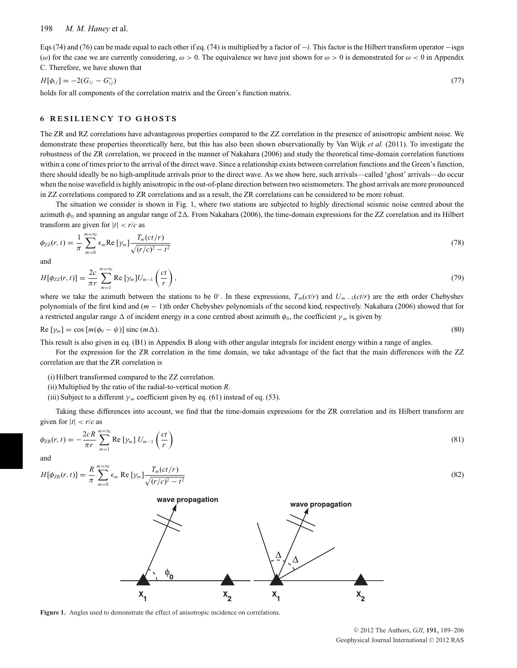Eqs (74) and (76) can be made equal to each other if eq. (74) is multiplied by a factor of −*i*. This factor is the Hilbert transform operator −isgn (ω) for the case we are currently considering,  $ω > 0$ . The equivalence we have just shown for  $ω > 0$  is demonstrated for  $ω < 0$  in Appendix C. Therefore, we have shown that

$$
H[\phi_{ij}] = -2(G_{ij} - G_{ij}^*)
$$
\n(77)

holds for all components of the correlation matrix and the Green's function matrix.

#### **6 RESILIENCY TO GHOSTS**

The ZR and RZ correlations have advantageous properties compared to the ZZ correlation in the presence of anisotropic ambient noise. We demonstrate these properties theoretically here, but this has also been shown observationally by Van Wijk *et al.* (2011). To investigate the robustness of the ZR correlation, we proceed in the manner of Nakahara (2006) and study the theoretical time-domain correlation functions within a cone of times prior to the arrival of the direct wave. Since a relationship exists between correlation functions and the Green's function, there should ideally be no high-amplitude arrivals prior to the direct wave. As we show here, such arrivals—called 'ghost' arrivals—do occur when the noise wavefield is highly anisotropic in the out-of-plane direction between two seismometers. The ghost arrivals are more pronounced in ZZ correlations compared to ZR correlations and as a result, the ZR correlations can be considered to be more robust.

The situation we consider is shown in Fig. 1, where two stations are subjected to highly directional seismic noise centred about the azimuth  $\phi_0$  and spanning an angular range of  $2\Delta$ . From Nakahara (2006), the time-domain expressions for the ZZ correlation and its Hilbert transform are given for  $|t| < r/c$  as

$$
\phi_{ZZ}(r,t) = \frac{1}{\pi} \sum_{m=0}^{m=\infty} \epsilon_m \operatorname{Re} \left[ \gamma_m \right] \frac{T_m(ct/r)}{\sqrt{(r/c)^2 - t^2}} \tag{78}
$$

and

$$
H[\phi_{ZZ}(r,t)] = \frac{2c}{\pi r} \sum_{m=1}^{m=\infty} \text{Re} \left[ \gamma_m \right] U_{m-1} \left( \frac{ct}{r} \right),\tag{79}
$$

where we take the azimuth between the stations to be 0°. In these expressions,  $T_m(ct/r)$  and  $U_m(i(t/r))$  are the *m*th order Chebyshev polynomials of the first kind and (*m* − 1)th order Chebyshev polynomials of the second kind, respectively. Nakahara (2006) showed that for a restricted angular range  $\Delta$  of incident energy in a cone centred about azimuth  $\phi_0$ , the coefficient  $\gamma_m$  is given by

$$
\text{Re}\left[\gamma_m\right] = \cos\left[m(\phi_0 - \psi)\right] \text{ sinc}\left(m\Delta\right). \tag{80}
$$

This result is also given in eq. (B1) in Appendix B along with other angular integrals for incident energy within a range of angles.

For the expression for the ZR correlation in the time domain, we take advantage of the fact that the main differences with the ZZ correlation are that the ZR correlation is

(i) Hilbert transformed compared to the ZZ correlation.

(ii) Multiplied by the ratio of the radial-to-vertical motion *R*.

(iii) Subject to a different  $\gamma_m$  coefficient given by eq. (61) instead of eq. (53).

Taking these differences into account, we find that the time-domain expressions for the ZR correlation and its Hilbert transform are given for  $|t| < r/c$  as

$$
\phi_{\text{ZR}}(r,t) = -\frac{2cR}{\pi r} \sum_{m=1}^{m=\infty} \text{Re} \left[ \gamma_m \right] U_{m-1} \left( \frac{ct}{r} \right)
$$
\n(81)

and

$$
H[\phi_{\rm ZR}(r,t)] = \frac{R}{\pi} \sum_{m=0}^{m=\infty} \epsilon_m \text{ Re }[\gamma_m] \frac{T_m(ct/r)}{\sqrt{(r/c)^2 - t^2}} \tag{82}
$$



**Figure 1.** Angles used to demonstrate the effect of anisotropic incidence on correlations.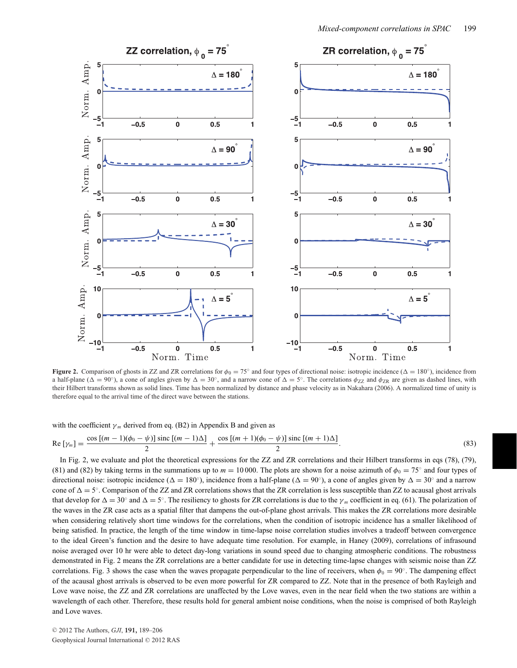

**Figure 2.** Comparison of ghosts in ZZ and ZR correlations for  $\phi_0 = 75°$  and four types of directional noise: isotropic incidence ( $\Delta = 180°$ ), incidence from a half-plane ( $\Delta = 90°$ ), a cone of angles given by  $\Delta = 30°$ , and a narrow cone of  $\Delta = 5°$ . The correlations  $\phi_{ZZ}$  and  $\phi_{ZR}$  are given as dashed lines, with their Hilbert transforms shown as solid lines. Time has been normalized by distance and phase velocity as in Nakahara (2006). A normalized time of unity is therefore equal to the arrival time of the direct wave between the stations.

with the coefficient  $\gamma_m$  derived from eq. (B2) in Appendix B and given as

$$
\operatorname{Re}\left[\gamma_m\right] = \frac{\cos\left[(m-1)(\phi_0 - \psi)\right]\operatorname{sinc}\left[(m-1)\Delta\right]}{2} + \frac{\cos\left[(m+1)(\phi_0 - \psi)\right]\operatorname{sinc}\left[(m+1)\Delta\right]}{2}.\tag{83}
$$

In Fig. 2, we evaluate and plot the theoretical expressions for the ZZ and ZR correlations and their Hilbert transforms in eqs (78), (79), (81) and (82) by taking terms in the summations up to  $m = 10000$ . The plots are shown for a noise azimuth of  $\phi_0 = 75°$  and four types of directional noise: isotropic incidence ( $\Delta = 180°$ ), incidence from a half-plane ( $\Delta = 90°$ ), a cone of angles given by  $\Delta = 30°$  and a narrow cone of  $\Delta = 5^\circ$ . Comparison of the ZZ and ZR correlations shows that the ZR correlation is less susceptible than ZZ to acausal ghost arrivals that develop for  $\Delta = 30^\circ$  and  $\Delta = 5^\circ$ . The resiliency to ghosts for ZR correlations is due to the  $\gamma_m$  coefficient in eq. (61). The polarization of the waves in the ZR case acts as a spatial filter that dampens the out-of-plane ghost arrivals. This makes the ZR correlations more desirable when considering relatively short time windows for the correlations, when the condition of isotropic incidence has a smaller likelihood of being satisfied. In practice, the length of the time window in time-lapse noise correlation studies involves a tradeoff between convergence to the ideal Green's function and the desire to have adequate time resolution. For example, in Haney (2009), correlations of infrasound noise averaged over 10 hr were able to detect day-long variations in sound speed due to changing atmospheric conditions. The robustness demonstrated in Fig. 2 means the ZR correlations are a better candidate for use in detecting time-lapse changes with seismic noise than ZZ correlations. Fig. 3 shows the case when the waves propagate perpendicular to the line of receivers, when  $\phi_0 = 90^\circ$ . The dampening effect of the acausal ghost arrivals is observed to be even more powerful for ZR compared to ZZ. Note that in the presence of both Rayleigh and Love wave noise, the ZZ and ZR correlations are unaffected by the Love waves, even in the near field when the two stations are within a wavelength of each other. Therefore, these results hold for general ambient noise conditions, when the noise is comprised of both Rayleigh and Love waves.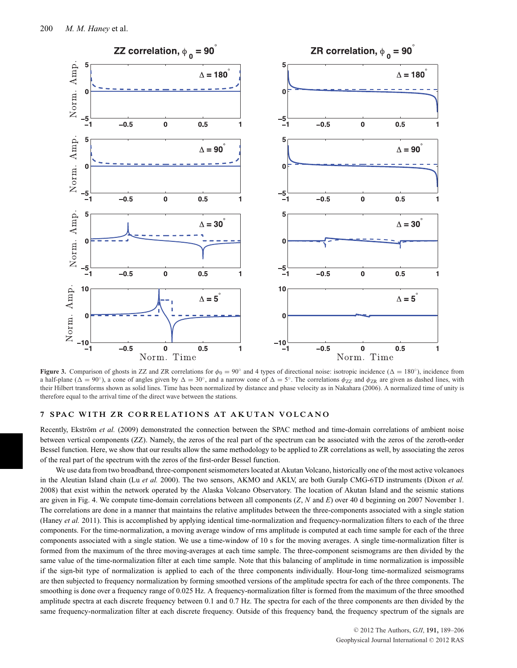

**Figure 3.** Comparison of ghosts in ZZ and ZR correlations for  $\phi_0 = 90^\circ$  and 4 types of directional noise: isotropic incidence ( $\Delta = 180^\circ$ ), incidence from a half-plane ( $\Delta = 90°$ ), a cone of angles given by  $\Delta = 30°$ , and a narrow cone of  $\Delta = 5°$ . The correlations  $\phi_{ZZ}$  and  $\phi_{ZR}$  are given as dashed lines, with their Hilbert transforms shown as solid lines. Time has been normalized by distance and phase velocity as in Nakahara (2006). A normalized time of unity is therefore equal to the arrival time of the direct wave between the stations.

#### **7 SPAC WITH ZR CORRELATIONS AT AKUTAN VOLCANO**

Recently, Ekström et al. (2009) demonstrated the connection between the SPAC method and time-domain correlations of ambient noise between vertical components (ZZ). Namely, the zeros of the real part of the spectrum can be associated with the zeros of the zeroth-order Bessel function. Here, we show that our results allow the same methodology to be applied to ZR correlations as well, by associating the zeros of the real part of the spectrum with the zeros of the first-order Bessel function.

We use data from two broadband, three-component seismometers located at Akutan Volcano, historically one of the most active volcanoes in the Aleutian Island chain (Lu *et al.* 2000). The two sensors, AKMO and AKLV, are both Guralp CMG-6TD instruments (Dixon *et al.* 2008) that exist within the network operated by the Alaska Volcano Observatory. The location of Akutan Island and the seismic stations are given in Fig. 4. We compute time-domain correlations between all components (*Z*, *N* and *E*) over 40 d beginning on 2007 November 1. The correlations are done in a manner that maintains the relative amplitudes between the three-components associated with a single station (Haney *et al.* 2011). This is accomplished by applying identical time-normalization and frequency-normalization filters to each of the three components. For the time-normalization, a moving average window of rms amplitude is computed at each time sample for each of the three components associated with a single station. We use a time-window of 10 s for the moving averages. A single time-normalization filter is formed from the maximum of the three moving-averages at each time sample. The three-component seismograms are then divided by the same value of the time-normalization filter at each time sample. Note that this balancing of amplitude in time normalization is impossible if the sign-bit type of normalization is applied to each of the three components individually. Hour-long time-normalized seismograms are then subjected to frequency normalization by forming smoothed versions of the amplitude spectra for each of the three components. The smoothing is done over a frequency range of 0.025 Hz. A frequency-normalization filter is formed from the maximum of the three smoothed amplitude spectra at each discrete frequency between 0.1 and 0.7 Hz. The spectra for each of the three components are then divided by the same frequency-normalization filter at each discrete frequency. Outside of this frequency band, the frequency spectrum of the signals are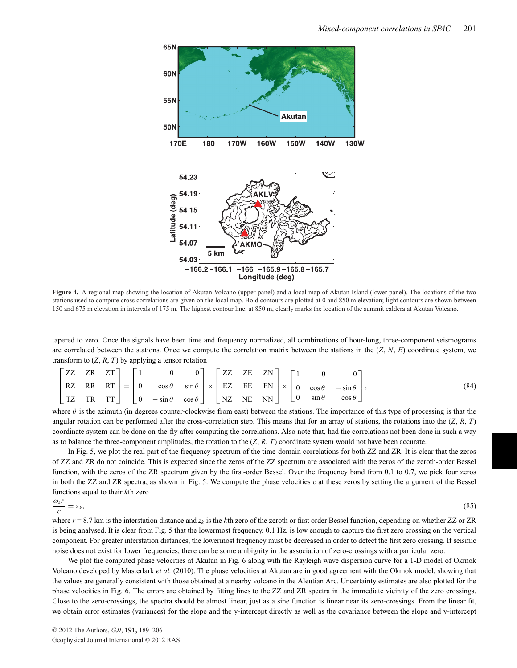

**Figure 4.** A regional map showing the location of Akutan Volcano (upper panel) and a local map of Akutan Island (lower panel). The locations of the two stations used to compute cross correlations are given on the local map. Bold contours are plotted at 0 and 850 m elevation; light contours are shown between 150 and 675 m elevation in intervals of 175 m. The highest contour line, at 850 m, clearly marks the location of the summit caldera at Akutan Volcano.

tapered to zero. Once the signals have been time and frequency normalized, all combinations of hour-long, three-component seismograms are correlated between the stations. Once we compute the correlation matrix between the stations in the (*Z*, *N*, *E*) coordinate system, we transform to  $(Z, R, T)$  by applying a tensor rotation

|  |  |  | $\begin{bmatrix} ZZ & ZR & ZT \end{bmatrix}$ $\begin{bmatrix} 1 & 0 & 0 \end{bmatrix}$ $\begin{bmatrix} ZZ & ZE & ZN \end{bmatrix}$ $\begin{bmatrix} 1 & 0 & 0 \end{bmatrix}$                                                                                                                                                     |  |  |  |  |  |      |
|--|--|--|-----------------------------------------------------------------------------------------------------------------------------------------------------------------------------------------------------------------------------------------------------------------------------------------------------------------------------------|--|--|--|--|--|------|
|  |  |  |                                                                                                                                                                                                                                                                                                                                   |  |  |  |  |  | (84) |
|  |  |  | $RZ \begin{bmatrix} RR & RT \\ TZ & TR & TT \end{bmatrix} = \begin{bmatrix} 0 & \cos \theta & \sin \theta \\ 0 & -\sin \theta & \cos \theta \end{bmatrix} \times \begin{bmatrix} EZ & EE & EN \\ NZ & RE & NN \end{bmatrix} \times \begin{bmatrix} 0 & \cos \theta & -\sin \theta \\ 0 & \sin \theta & \cos \theta \end{bmatrix}$ |  |  |  |  |  |      |

where  $\theta$  is the azimuth (in degrees counter-clockwise from east) between the stations. The importance of this type of processing is that the angular rotation can be performed after the cross-correlation step. This means that for an array of stations, the rotations into the  $(Z, R, T)$ coordinate system can be done on-the-fly after computing the correlations. Also note that, had the correlations not been done in such a way as to balance the three-component amplitudes, the rotation to the (*Z*, *R*, *T*) coordinate system would not have been accurate.

In Fig. 5, we plot the real part of the frequency spectrum of the time-domain correlations for both ZZ and ZR. It is clear that the zeros of ZZ and ZR do not coincide. This is expected since the zeros of the ZZ spectrum are associated with the zeros of the zeroth-order Bessel function, with the zeros of the ZR spectrum given by the first-order Bessel. Over the frequency band from 0.1 to 0.7, we pick four zeros in both the ZZ and ZR spectra, as shown in Fig. 5. We compute the phase velocities *c* at these zeros by setting the argument of the Bessel functions equal to their *k*th zero ω*<sup>k</sup> r*

$$
\frac{\omega_{k'}}{c} = z_{k},\tag{85}
$$

where  $r = 8.7$  km is the interstation distance and  $z_k$  is the *k*th zero of the zeroth or first order Bessel function, depending on whether ZZ or ZR is being analysed. It is clear from Fig. 5 that the lowermost frequency, 0.1 Hz, is low enough to capture the first zero crossing on the vertical component. For greater interstation distances, the lowermost frequency must be decreased in order to detect the first zero crossing. If seismic noise does not exist for lower frequencies, there can be some ambiguity in the association of zero-crossings with a particular zero.

We plot the computed phase velocities at Akutan in Fig. 6 along with the Rayleigh wave dispersion curve for a 1-D model of Okmok Volcano developed by Masterlark *et al.* (2010). The phase velocities at Akutan are in good agreement with the Okmok model, showing that the values are generally consistent with those obtained at a nearby volcano in the Aleutian Arc. Uncertainty estimates are also plotted for the phase velocities in Fig. 6. The errors are obtained by fitting lines to the ZZ and ZR spectra in the immediate vicinity of the zero crossings. Close to the zero-crossings, the spectra should be almost linear, just as a sine function is linear near its zero-crossings. From the linear fit, we obtain error estimates (variances) for the slope and the y-intercept directly as well as the covariance between the slope and y-intercept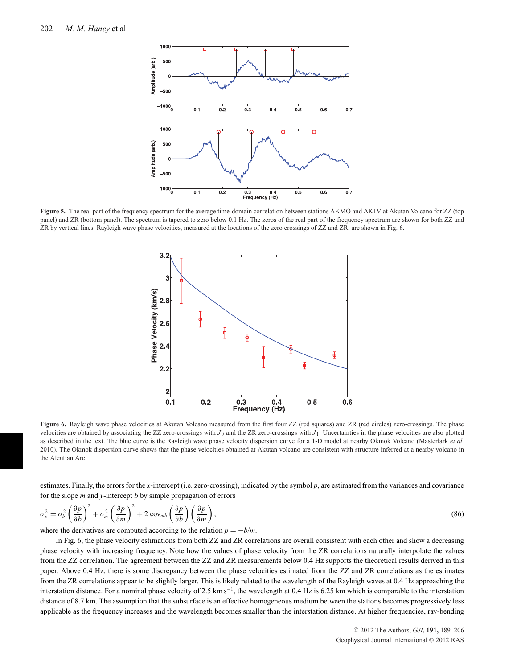

**Figure 5.** The real part of the frequency spectrum for the average time-domain correlation between stations AKMO and AKLV at Akutan Volcano for ZZ (top panel) and ZR (bottom panel). The spectrum is tapered to zero below 0.1 Hz. The zeros of the real part of the frequency spectrum are shown for both ZZ and ZR by vertical lines. Rayleigh wave phase velocities, measured at the locations of the zero crossings of ZZ and ZR, are shown in Fig. 6.



**Figure 6.** Rayleigh wave phase velocities at Akutan Volcano measured from the first four ZZ (red squares) and ZR (red circles) zero-crossings. The phase velocities are obtained by associating the ZZ zero-crossings with  $J_0$  and the ZR zero-crossings with  $J_1$ . Uncertainties in the phase velocities are also plotted as described in the text. The blue curve is the Rayleigh wave phase velocity dispersion curve for a 1-D model at nearby Okmok Volcano (Masterlark *et al.* 2010). The Okmok dispersion curve shows that the phase velocities obtained at Akutan volcano are consistent with structure inferred at a nearby volcano in the Aleutian Arc.

estimates. Finally, the errors for the *x*-intercept (i.e. zero-crossing), indicated by the symbol *p*, are estimated from the variances and covariance for the slope *m* and *y*-intercept *b* by simple propagation of errors

$$
\sigma_p^2 = \sigma_b^2 \left(\frac{\partial p}{\partial b}\right)^2 + \sigma_m^2 \left(\frac{\partial p}{\partial m}\right)^2 + 2 \cos_m b \left(\frac{\partial p}{\partial b}\right) \left(\frac{\partial p}{\partial m}\right),\tag{86}
$$

where the derivatives are computed according to the relation  $p = -b/m$ .

In Fig. 6, the phase velocity estimations from both ZZ and ZR correlations are overall consistent with each other and show a decreasing phase velocity with increasing frequency. Note how the values of phase velocity from the ZR correlations naturally interpolate the values from the ZZ correlation. The agreement between the ZZ and ZR measurements below 0.4 Hz supports the theoretical results derived in this paper. Above 0.4 Hz, there is some discrepancy between the phase velocities estimated from the ZZ and ZR correlations as the estimates from the ZR correlations appear to be slightly larger. This is likely related to the wavelength of the Rayleigh waves at 0.4 Hz approaching the interstation distance. For a nominal phase velocity of 2.5 km s−1, the wavelength at 0.4 Hz is 6.25 km which is comparable to the interstation distance of 8.7 km. The assumption that the subsurface is an effective homogeneous medium between the stations becomes progressively less applicable as the frequency increases and the wavelength becomes smaller than the interstation distance. At higher frequencies, ray-bending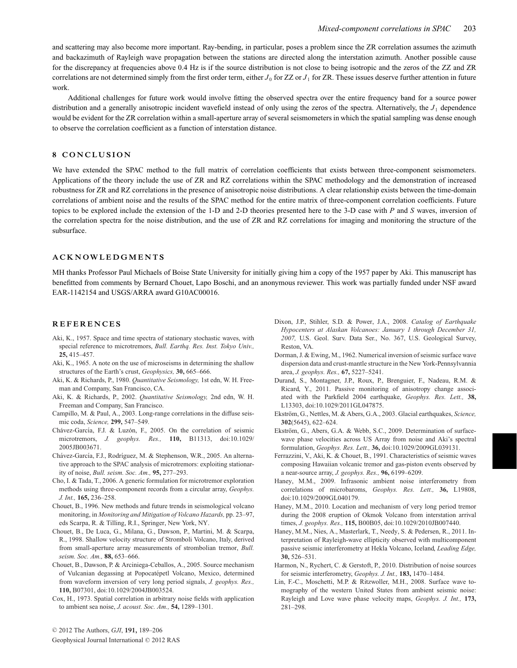and scattering may also become more important. Ray-bending, in particular, poses a problem since the ZR correlation assumes the azimuth and backazimuth of Rayleigh wave propagation between the stations are directed along the interstation azimuth. Another possible cause for the discrepancy at frequencies above 0.4 Hz is if the source distribution is not close to being isotropic and the zeros of the ZZ and ZR correlations are not determined simply from the first order term, either  $J_0$  for ZZ or  $J_1$  for ZR. These issues deserve further attention in future work.

Additional challenges for future work would involve fitting the observed spectra over the entire frequency band for a source power distribution and a generally anisotropic incident wavefield instead of only using the zeros of the spectra. Alternatively, the  $J_1$  dependence would be evident for the ZR correlation within a small-aperture array of several seismometers in which the spatial sampling was dense enough to observe the correlation coefficient as a function of interstation distance.

#### **8 CONCLUSION**

We have extended the SPAC method to the full matrix of correlation coefficients that exists between three-component seismometers. Applications of the theory include the use of ZR and RZ correlations within the SPAC methodology and the demonstration of increased robustness for ZR and RZ correlations in the presence of anisotropic noise distributions. A clear relationship exists between the time-domain correlations of ambient noise and the results of the SPAC method for the entire matrix of three-component correlation coefficients. Future topics to be explored include the extension of the 1-D and 2-D theories presented here to the 3-D case with *P* and *S* waves, inversion of the correlation spectra for the noise distribution, and the use of ZR and RZ correlations for imaging and monitoring the structure of the subsurface.

#### **ACKNOWLEDGMENTS**

MH thanks Professor Paul Michaels of Boise State University for initially giving him a copy of the 1957 paper by Aki. This manuscript has benefitted from comments by Bernard Chouet, Lapo Boschi, and an anonymous reviewer. This work was partially funded under NSF award EAR-1142154 and USGS/ARRA award G10AC00016.

#### **REFERENCES**

- Aki, K., 1957. Space and time spectra of stationary stochastic waves, with special reference to microtremors, *Bull. Earthq. Res. Inst. Tokyo Univ.,* **25,** 415–457.
- Aki, K., 1965. A note on the use of microseisms in determining the shallow structures of the Earth's crust, *Geophysics,* **30,** 665–666.
- Aki, K. & Richards, P., 1980. *Quantitative Seismology,* 1st edn, W. H. Freeman and Company, San Francisco, CA.
- Aki, K. & Richards, P., 2002. *Quantitative Seismology,* 2nd edn, W. H. Freeman and Company, San Francisco.
- Campillo, M. & Paul, A., 2003. Long-range correlations in the diffuse seismic coda, *Science,* **299,** 547–549.
- Chávez-García, F.J. & Luzón, F., 2005. On the correlation of seismic microtremors, *J. geophys. Res.,* **110,** B11313, doi:10.1029/ 2005JB003671.
- Chávez-García, F.J., Rodríguez, M. & Stephenson, W.R., 2005. An alternative approach to the SPAC analysis of microtremors: exploiting stationarity of noise, *Bull. seism. Soc. Am.,* **95,** 277–293.
- Cho, I. & Tada, T., 2006. A generic formulation for microtremor exploration methods using three-component records from a circular array, *Geophys. J. Int.,* **165,** 236–258.
- Chouet, B., 1996. New methods and future trends in seismological volcano monitoring, in *Monitoring and Mitigation of Volcano Hazards,* pp. 23–97, eds Scarpa, R. & Tilling, R.I., Springer, New York, NY.
- Chouet, B., De Luca, G., Milana, G., Dawson, P., Martini, M. & Scarpa, R., 1998. Shallow velocity structure of Stromboli Volcano, Italy, derived from small-aperture array measurements of strombolian tremor, *Bull. seism. Soc. Am.,* **88,** 653–666.
- Chouet, B., Dawson, P. & Arciniega-Ceballos, A., 2005. Source mechanism of Vulcanian degassing at Popocatépetl Volcano, Mexico, determined from waveform inversion of very long period signals, *J. geophys. Res.,* **110,** B07301, doi:10.1029/2004JB003524.
- Cox, H., 1973. Spatial correlation in arbitrary noise fields with application to ambient sea noise, *J. acoust. Soc. Am.,* **54,** 1289–1301.
- Dixon, J.P., Stihler, S.D. & Power, J.A., 2008. *Catalog of Earthquake Hypocenters at Alaskan Volcanoes: January 1 through December 31, 2007,* U.S. Geol. Surv. Data Ser., No. 367, U.S. Geological Survey, Reston, VA.
- Dorman, J. & Ewing, M., 1962. Numerical inversion of seismic surface wave dispersion data and crust-mantle structure in the New York-Pennsylvannia area, *J. geophys. Res.,* **67,** 5227–5241.
- Durand, S., Montagner, J.P., Roux, P., Brenguier, F., Nadeau, R.M. & Ricard, Y., 2011. Passive monitoring of anisotropy change associated with the Parkfield 2004 earthquake, *Geophys. Res. Lett.,* **38,** L13303, doi:10.1029/2011GL047875.
- Ekström, G., Nettles, M. & Abers, G.A., 2003. Glacial earthquakes, Science, **302**(5645), 622–624.
- Ekström, G., Abers, G.A. & Webb, S.C., 2009. Determination of surfacewave phase velocities across US Array from noise and Aki's spectral formulation, *Geophys. Res. Lett.,* **36,** doi:10.1029/2009GL039131.
- Ferrazzini, V., Aki, K. & Chouet, B., 1991. Characteristics of seismic waves composing Hawaiian volcanic tremor and gas-piston events observed by a near-source array, *J. geophys. Res.,* **96,** 6199–6209.
- Haney, M.M., 2009. Infrasonic ambient noise interferometry from correlations of microbaroms, *Geophys. Res. Lett.,* **36,** L19808, doi:10.1029/2009GL040179.
- Haney, M.M., 2010. Location and mechanism of very long period tremor during the 2008 eruption of Okmok Volcano from interstation arrival times, *J. geophys. Res.,* **115,** B00B05, doi:10.1029/2010JB007440.
- Haney, M.M., Nies, A., Masterlark, T., Needy, S. & Pedersen, R., 2011. Interpretation of Rayleigh-wave ellipticity observed with multicomponent passive seismic interferometry at Hekla Volcano, Iceland, *Leading Edge,* **30,** 526–531.
- Harmon, N., Rychert, C. & Gerstoft, P., 2010. Distribution of noise sources for seismic interferometry, *Geophys. J. Int.,* **183,** 1470–1484.
- Lin, F.-C., Moschetti, M.P. & Ritzwoller, M.H., 2008. Surface wave tomography of the western United States from ambient seismic noise: Rayleigh and Love wave phase velocity maps, *Geophys. J. Int.,* **173,** 281–298.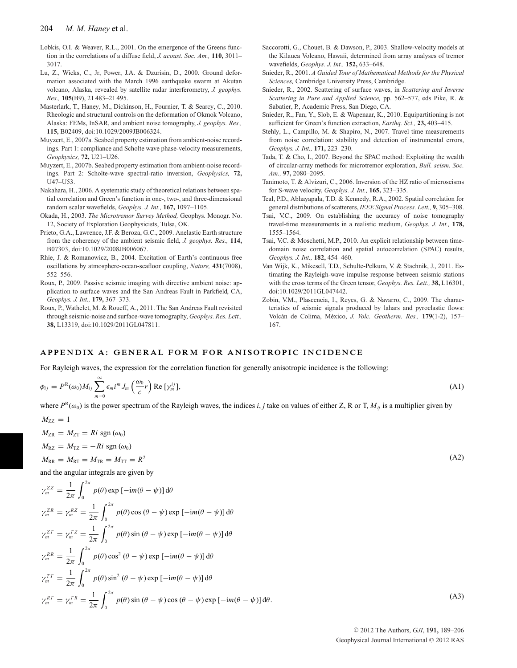- Lobkis, O.I. & Weaver, R.L., 2001. On the emergence of the Greens function in the correlations of a diffuse field, *J. acoust. Soc. Am.,* **110,** 3011– 3017.
- Lu, Z., Wicks, C., Jr, Power, J.A. & Dzurisin, D., 2000. Ground deformation associated with the March 1996 earthquake swarm at Akutan volcano, Alaska, revealed by satellite radar interferometry, *J. geophys. Res.,* **105**(B9), 21 483–21 495.
- Masterlark, T., Haney, M., Dickinson, H., Fournier, T. & Searcy, C., 2010. Rheologic and structural controls on the deformation of Okmok Volcano, Alaska: FEMs, InSAR, and ambient noise tomography, *J. geophys. Res.,* **115,** B02409, doi:10.1029/2009JB006324.
- Muyzert, E., 2007a. Seabed property estimation from ambient-noise recordings. Part 1: compliance and Scholte wave phase-velocity measurements, *Geophysics,* **72,** U21–U26.
- Muyzert, E., 2007b. Seabed property estimation from ambient-noise recordings. Part 2: Scholte-wave spectral-ratio inversion, *Geophysics,* **72,** U47–U53.
- Nakahara, H., 2006. A systematic study of theoretical relations between spatial correlation and Green's function in one-, two-, and three-dimensional random scalar wavefields, *Geophys. J. Int.,* **167,** 1097–1105.
- Okada, H., 2003. *The Microtremor Survey Method,* Geophys. Monogr. No. 12, Society of Exploration Geophysicists, Tulsa, OK.
- Prieto, G.A., Lawrence, J.F. & Beroza, G.C., 2009. Anelastic Earth structure from the coherency of the ambient seismic field, *J. geophys. Res.,* **114,** B07303, doi:10.1029/2008JB006067.
- Rhie, J. & Romanowicz, B., 2004. Excitation of Earth's continuous free oscillations by atmosphere-ocean-seafloor coupling, *Nature,* **431**(7008), 552–556.
- Roux, P., 2009. Passive seismic imaging with directive ambient noise: application to surface waves and the San Andreas Fault in Parkfield, CA, *Geophys. J. Int.,* **179,** 367–373.
- Roux, P., Wathelet, M. & Roueff, A., 2011. The San Andreas Fault revisited through seismic-noise and surface-wave tomography, *Geophys. Res. Lett.,* **38,** L13319, doi:10.1029/2011GL047811.
- Saccorotti, G., Chouet, B. & Dawson, P., 2003. Shallow-velocity models at the Kilauea Volcano, Hawaii, determined from array analyses of tremor wavefields, *Geophys. J. Int.,* **152,** 633–648.
- Snieder, R., 2001. *A Guided Tour of Mathematical Methods for the Physical Sciences,* Cambridge University Press, Cambridge.
- Snieder, R., 2002. Scattering of surface waves, in *Scattering and Inverse Scattering in Pure and Applied Science,* pp. 562–577, eds Pike, R. & Sabatier, P., Academic Press, San Diego, CA.
- Snieder, R., Fan, Y., Slob, E. & Wapenaar, K., 2010. Equipartitioning is not sufficient for Green's function extraction, *Earthq. Sci.,* **23,** 403–415.
- Stehly, L., Campillo, M. & Shapiro, N., 2007. Travel time measurements from noise correlation: stability and detection of instrumental errors, *Geophys. J. Int.,* **171,** 223–230.
- Tada, T. & Cho, I., 2007. Beyond the SPAC method: Exploiting the wealth of circular-array methods for microtremor exploration, *Bull. seism. Soc. Am.,* **97,** 2080–2095.
- Tanimoto, T. & Alvizuri, C., 2006. Inversion of the HZ ratio of microseisms for S-wave velocity, *Geophys. J. Int.,* **165,** 323–335.
- Teal, P.D., Abhayapala, T.D. & Kennedy, R.A., 2002. Spatial correlation for general distributions of scatterers, *IEEE Signal Process. Lett.,* **9,** 305–308.
- Tsai, V.C., 2009. On establishing the accuracy of noise tomography travel-time measurements in a realistic medium, *Geophys. J. Int.,* **178,** 1555–1564.
- Tsai, V.C. & Moschetti, M.P., 2010. An explicit relationship between timedomain noise correlation and spatial autocorrelation (SPAC) results, *Geophys. J. Int.,* **182,** 454–460.
- Van Wijk, K., Mikesell, T.D., Schulte-Pelkum, V. & Stachnik, J., 2011. Estimating the Rayleigh-wave impulse response between seismic stations with the cross terms of the Green tensor, *Geophys. Res. Lett.,* **38,** L16301, doi:10.1029/2011GL047442.
- Zobin, V.M., Plascencia, I., Reyes, G. & Navarro, C., 2009. The characteristics of seismic signals produced by lahars and pyroclastic flows: Volcán de Colima, México, *J. Volc. Geotherm. Res.*, 179(1-2), 157– 167.

#### **APPENDIX A: GENERAL FORM FOR ANISOTROPIC INCIDENCE**

For Rayleigh waves, the expression for the correlation function for generally anisotropic incidence is the following:

$$
\phi_{ij} = P^{\mathbb{R}}(\omega_0) M_{ij} \sum_{m=0}^{\infty} \epsilon_m i^m J_m \left(\frac{\omega_0}{c} r\right) \text{Re} \left[\gamma_m^{ij}\right],\tag{A1}
$$

where  $P^R(\omega_0)$  is the power spectrum of the Rayleigh waves, the indices *i*, *j* take on values of either Z, R or T,  $M_{ii}$  is a multiplier given by

 $M_{ZZ} = 1$  $M_{\text{ZR}} = M_{\text{ZT}} = Ri \text{ sgn}(\omega_0)$  $M_{\text{RZ}} = M_{\text{TZ}} = -Ri \text{ sgn}(\omega_0)$  $M_{\text{RR}} = M_{\text{RT}} = M_{\text{TR}} = M_{\text{TT}} = R^2$  (A2) and the angular integrals are given by  $\gamma_m^{ZZ} = \frac{1}{2\pi}$  $\int_{0}^{2\pi} p(\theta) \exp \left[-im(\theta - \psi)\right] d\theta$ 0

$$
\gamma_m^{ZR} = \gamma_m^{RZ} = \frac{1}{2\pi} \int_0^{2\pi} p(\theta) \cos(\theta - \psi) \exp[-im(\theta - \psi)] d\theta
$$
  
\n
$$
\gamma_m^{ZT} = \gamma_m^{TZ} = \frac{1}{2\pi} \int_0^{2\pi} p(\theta) \sin(\theta - \psi) \exp[-im(\theta - \psi)] d\theta
$$
  
\n
$$
\gamma_m^{RR} = \frac{1}{2\pi} \int_0^{2\pi} p(\theta) \cos^2(\theta - \psi) \exp[-im(\theta - \psi)] d\theta
$$
  
\n
$$
\gamma_m^{TT} = \frac{1}{2\pi} \int_0^{2\pi} p(\theta) \sin^2(\theta - \psi) \exp[-im(\theta - \psi)] d\theta
$$
  
\n
$$
\gamma_m^{RT} = \gamma_m^{TR} = \frac{1}{2\pi} \int_0^{2\pi} p(\theta) \sin(\theta - \psi) \cos(\theta - \psi) \exp[-im(\theta - \psi)] d\theta.
$$
\n(A3)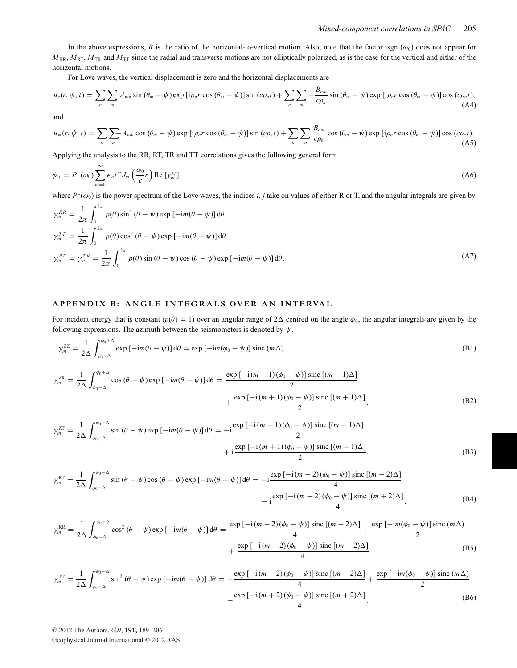In the above expressions, *R* is the ratio of the horizontal-to-vertical motion. Also, note that the factor isgn  $(\omega_0)$  does not appear for  $M_{\rm RR}$ ,  $M_{\rm RT}$ ,  $M_{\rm TR}$  and  $M_{\rm TT}$  since the radial and transverse motions are not elliptically polarized, as is the case for the vertical and either of the horizontal motions.

For Love waves, the vertical displacement is zero and the horizontal displacements are

$$
u_r(r, \psi, t) = \sum_{n} \sum_{m} A_{nm} \sin (\theta_m - \psi) \exp \left[ i \rho_n r \cos (\theta_m - \psi) \right] \sin (c \rho_n t) + \sum_{n} \sum_{m} -\frac{B_{nm}}{c \rho_n} \sin (\theta_m - \psi) \exp \left[ i \rho_n r \cos (\theta_m - \psi) \right] \cos (c \rho_n t), \tag{A4}
$$

and

$$
u_{\psi}(r, \psi, t) = \sum_{n} \sum_{m} A_{nm} \cos (\theta_{m} - \psi) \exp \left[i \rho_{n} r \cos (\theta_{m} - \psi)\right] \sin (c \rho_{n} t) + \sum_{n} \sum_{m} \frac{B_{nm}}{c \rho_{n}} \cos (\theta_{m} - \psi) \exp \left[i \rho_{n} r \cos (\theta_{m} - \psi)\right] \cos (c \rho_{n} t). \tag{A5}
$$

Applying the analysis to the RR, RT, TR and TT correlations gives the following general form

$$
\phi_{ij} = P^{\mathsf{L}}(\omega_0) \sum_{m=0}^{\infty} \epsilon_m i^m J_m \left(\frac{\omega_0}{c} r\right) \text{Re} \left[\gamma_m^{ij}\right] \tag{A6}
$$

where  $P^L(\omega_0)$  is the power spectrum of the Love waves, the indices *i*, *j* take on values of either R or T, and the angular integrals are given by

$$
\gamma_m^{RR} = \frac{1}{2\pi} \int_0^{2\pi} p(\theta) \sin^2(\theta - \psi) \exp\left[-im(\theta - \psi)\right] d\theta
$$
  
\n
$$
\gamma_m^{TT} = \frac{1}{2\pi} \int_0^{2\pi} p(\theta) \cos^2(\theta - \psi) \exp\left[-im(\theta - \psi)\right] d\theta
$$
  
\n
$$
\gamma_m^{RT} = \gamma_m^{TR} = \frac{1}{2\pi} \int_0^{2\pi} p(\theta) \sin(\theta - \psi) \cos(\theta - \psi) \exp\left[-im(\theta - \psi)\right] d\theta.
$$
\n(A7)

#### **APPENDIX B: ANGLE INTEGRALS OVER AN INTERVAL**

For incident energy that is constant  $(p(\theta) = 1)$  over an angular range of  $2\Delta$  centred on the angle  $\phi_0$ , the angular integrals are given by the following expressions. The azimuth between the seismometers is denoted by  $\psi$ .

$$
\gamma_m^{ZZ} = \frac{1}{2\Delta} \int_{\phi_0 - \Delta}^{\phi_0 + \Delta} \exp\left[-\mathrm{i}m(\theta - \psi)\right] \mathrm{d}\theta = \exp\left[-\mathrm{i}m(\phi_0 - \psi)\right] \mathrm{sinc}\left(m\Delta\right). \tag{B1}
$$

$$
\gamma_m^{ZR} = \frac{1}{2\Delta} \int_{\phi_0 - \Delta}^{\phi_0 + \Delta} \cos\left(\theta - \psi\right) \exp\left[-\mathrm{i}m(\theta - \psi)\right] d\theta = \frac{\exp\left[-\mathrm{i}\left(m - 1\right)\left(\phi_0 - \psi\right)\right] \operatorname{sinc}\left[\left(m - 1\right)\Delta\right]}{2} + \frac{\exp\left[-\mathrm{i}\left(m + 1\right)\left(\phi_0 - \psi\right)\right] \operatorname{sinc}\left[\left(m + 1\right)\Delta\right]}{2}.\tag{B2}
$$

$$
\gamma_m^{ZT} = \frac{1}{2\Delta} \int_{\phi_0 - \Delta}^{\phi_0 + \Delta} \sin(\theta - \psi) \exp\left[-im(\theta - \psi)\right] d\theta = -i \frac{\exp\left[-i(m-1)(\phi_0 - \psi)\right] \operatorname{sinc}\left[(m-1)\Delta\right]}{2}
$$
  
+ 
$$
i \frac{\exp\left[-i(m+1)(\phi_0 - \psi)\right] \operatorname{sinc}\left[(m+1)\Delta\right]}{2}.
$$
 (B3)

$$
\gamma_m^{\text{RT}} = \frac{1}{2\Delta} \int_{\phi_0 - \Delta}^{\phi_0 + \Delta} \sin(\theta - \psi) \cos(\theta - \psi) \exp\left[-\mathrm{i}m(\theta - \psi)\right] d\theta = -\mathrm{i} \frac{\exp\left[-\mathrm{i}\left(m - 2\right)\left(\phi_0 - \psi\right)\right] \operatorname{sinc}\left[\left(m - 2\right)\Delta\right]}{4} + \mathrm{i} \frac{\exp\left[-\mathrm{i}\left(m + 2\right)\left(\phi_0 - \psi\right)\right] \operatorname{sinc}\left[\left(m + 2\right)\Delta\right]}{4}.\tag{B4}
$$

$$
\gamma_m^{\rm RR} = \frac{1}{2\Delta} \int_{\phi_0 - \Delta}^{\phi_0 + \Delta} \cos^2\left(\theta - \psi\right) \exp\left[-\mathrm{i}m(\theta - \psi)\right] \mathrm{d}\theta = \frac{\exp\left[-\mathrm{i}\left(m - 2\right)\left(\phi_0 - \psi\right)\right] \sin\left[\left(m - 2\right)\Delta\right]}{4} + \frac{\exp\left[-\mathrm{i}\left(m + 2\right)\left(\phi_0 - \psi\right)\right] \sin\left[\left(m + 2\right)\Delta\right]}{4} \tag{B5}
$$

$$
\gamma_m^{\text{TT}} = \frac{1}{2\Delta} \int_{\phi_0 - \Delta}^{\phi_0 + \Delta} \sin^2(\theta - \psi) \exp\left[-\mathrm{i}m(\theta - \psi)\right] \mathrm{d}\theta = -\frac{\exp\left[-\mathrm{i}\left(m - 2\right)(\phi_0 - \psi)\right] \mathrm{sinc}\left[\left(m - 2\right)\Delta\right]}{4} + \frac{\exp\left[-\mathrm{i}m(\phi_0 - \psi)\right] \mathrm{sinc}\left(m\Delta\right)}{2}
$$
\n
$$
-\frac{\exp\left[-\mathrm{i}\left(m + 2\right)(\phi_0 - \psi)\right] \mathrm{sinc}\left[\left(m + 2\right)\Delta\right]}{4}.
$$
\n(B6)

© 2012 The Authors, *GJI*, 191, 189-206 Geophysical Journal International © 2012 RAS